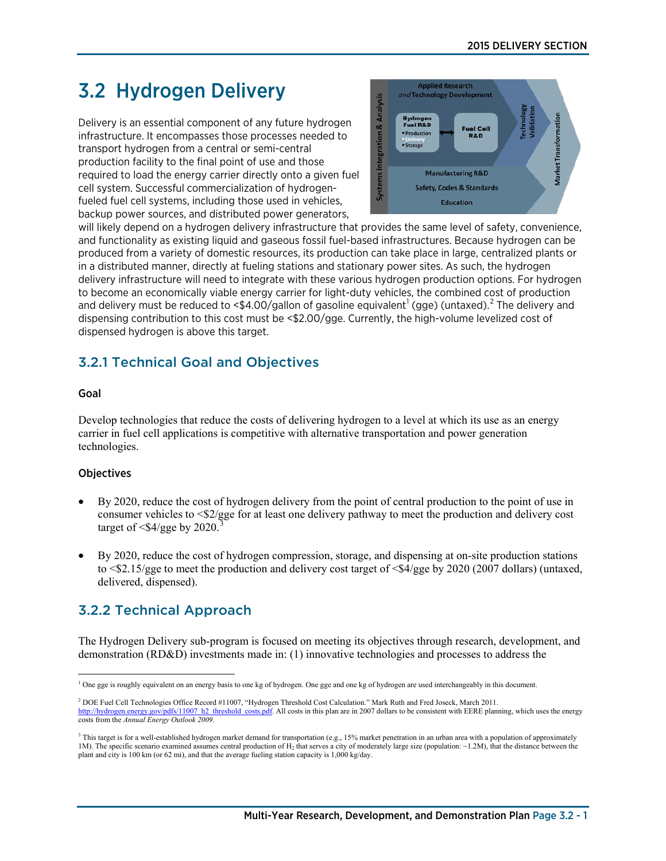# 3.2 Hydrogen Delivery

Delivery is an essential component of any future hydrogen infrastructure. It encompasses those processes needed to transport hydrogen from a central or semi-central production facility to the final point of use and those required to load the energy carrier directly onto a given fuel cell system. Successful commercialization of hydrogenfueled fuel cell systems, including those used in vehicles, backup power sources, and distributed power generators,



will likely depend on a hydrogen delivery infrastructure that provides the same level of safety, convenience, and functionality as existing liquid and gaseous fossil fuel-based infrastructures. Because hydrogen can be produced from a variety of domestic resources, its production can take place in large, centralized plants or in a distributed manner, directly at fueling stations and stationary power sites. As such, the hydrogen delivery infrastructure will need to integrate with these various hydrogen production options. For hydrogen to become an economically viable energy carrier for light-duty vehicles, the combined cost of production and delivery must be reduced to <\$4.00/gallon of gasoline equivalent<sup>[1](#page-0-0)</sup> (gge) (untaxed).<sup>[2](#page-0-1)</sup> The delivery and dispensing contribution to this cost must be <\$2.00/gge. Currently, the high-volume levelized cost of dispensed hydrogen is above this target.

# 3.2.1 Technical Goal and Objectives

#### Goal

Develop technologies that reduce the costs of delivering hydrogen to a level at which its use as an energy carrier in fuel cell applications is competitive with alternative transportation and power generation technologies.

#### **Objectives**

- By 2020, reduce the cost of hydrogen delivery from the point of central production to the point of use in consumer vehicles to <\$2/gge for at least one delivery pathway to meet the production and delivery cost target of  $\langle \frac{4}{9}$ gge by 2020.
- By 2020, reduce the cost of hydrogen compression, storage, and dispensing at on-site production stations to  $\leq 2.15$ /gge to meet the production and delivery cost target of  $\leq 4$ /gge by 2020 (2007 dollars) (untaxed, delivered, dispensed).

# 3.2.2 Technical Approach

The Hydrogen Delivery sub-program is focused on meeting its objectives through research, development, and demonstration (RD&D) investments made in: (1) innovative technologies and processes to address the

<span id="page-0-0"></span> $\overline{a}$ <sup>1</sup> One gge is roughly equivalent on an energy basis to one kg of hydrogen. One gge and one kg of hydrogen are used interchangeably in this document.

<span id="page-0-1"></span><sup>2</sup> DOE Fuel Cell Technologies Office Record #11007, "Hydrogen Threshold Cost Calculation." Mark Ruth and Fred Joseck, March 2011. .gov/pdfs/11007\_h2\_threshold\_costs.pdf. All costs in this plan are in 2007 dollars to be consistent with EERE planning, which uses the energy costs from the *Annual Energy Outlook 2009*.

<span id="page-0-2"></span> $3$  This target is for a well-established hydrogen market demand for transportation (e.g., 15% market penetration in an urban area with a population of approximately 1M). The specific scenario examined assumes central production of H<sub>2</sub> that serves a city of moderately large size (population: ~1.2M), that the distance between the plant and city is 100 km (or 62 mi), and that the average fueling station capacity is 1,000 kg/day.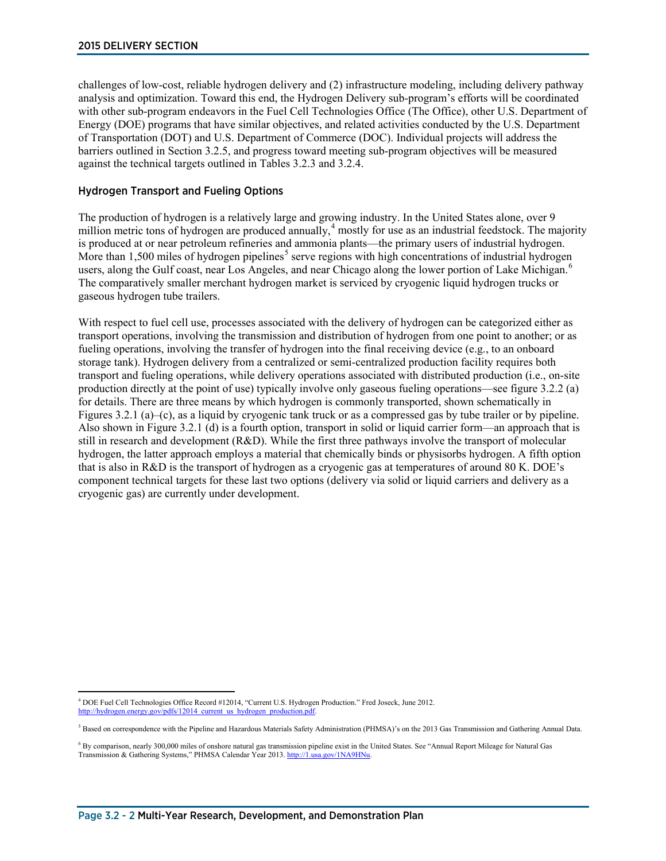challenges of low-cost, reliable hydrogen delivery and (2) infrastructure modeling, including delivery pathway analysis and optimization. Toward this end, the Hydrogen Delivery sub-program's efforts will be coordinated with other sub-program endeavors in the Fuel Cell Technologies Office (The Office), other U.S. Department of Energy (DOE) programs that have similar objectives, and related activities conducted by the U.S. Department of Transportation (DOT) and U.S. Department of Commerce (DOC). Individual projects will address the barriers outlined in Section 3.2.5, and progress toward meeting sub-program objectives will be measured against the technical targets outlined in Tables 3.2.3 and 3.2.4.

#### Hydrogen Transport and Fueling Options

The production of hydrogen is a relatively large and growing industry. In the United States alone, over 9 million metric tons of hydrogen are produced annually,<sup>[4](#page-1-0)</sup> mostly for use as an industrial feedstock. The majority is produced at or near petroleum refineries and ammonia plants—the primary users of industrial hydrogen. More than 1,[5](#page-1-1)00 miles of hydrogen pipelines<sup>5</sup> serve regions with high concentrations of industrial hydrogen users, along the Gulf coast, near Los Angeles, and near Chicago along the lower portion of Lake Michigan.<sup>[6](#page-1-2)</sup> The comparatively smaller merchant hydrogen market is serviced by cryogenic liquid hydrogen trucks or gaseous hydrogen tube trailers.

With respect to fuel cell use, processes associated with the delivery of hydrogen can be categorized either as transport operations, involving the transmission and distribution of hydrogen from one point to another; or as fueling operations, involving the transfer of hydrogen into the final receiving device (e.g., to an onboard storage tank). Hydrogen delivery from a centralized or semi-centralized production facility requires both transport and fueling operations, while delivery operations associated with distributed production (i.e., on-site production directly at the point of use) typically involve only gaseous fueling operations—see figure 3.2.2 (a) for details. There are three means by which hydrogen is commonly transported, shown schematically in Figures 3.2.1 (a)–(c), as a liquid by cryogenic tank truck or as a compressed gas by tube trailer or by pipeline. Also shown in Figure 3.2.1 (d) is a fourth option, transport in solid or liquid carrier form—an approach that is still in research and development (R&D). While the first three pathways involve the transport of molecular hydrogen, the latter approach employs a material that chemically binds or physisorbs hydrogen. A fifth option that is also in R&D is the transport of hydrogen as a cryogenic gas at temperatures of around 80 K. DOE's component technical targets for these last two options (delivery via solid or liquid carriers and delivery as a cryogenic gas) are currently under development.

<span id="page-1-0"></span> $\overline{a}$ <sup>4</sup> DOE Fuel Cell Technologies Office Record #12014, "Current U.S. Hydrogen Production." Fred Joseck, June 2012. http://hydrogen.energy.gov/pdfs/12014\_current\_us\_hydrogen\_production.pdf.

<span id="page-1-1"></span><sup>&</sup>lt;sup>5</sup> Based on correspondence with the Pipeline and Hazardous Materials Safety Administration (PHMSA)'s on the 2013 Gas Transmission and Gathering Annual Data.

<span id="page-1-2"></span><sup>6</sup> By comparison, nearly 300,000 miles of onshore natural gas transmission pipeline exist in the United States. See "Annual Report Mileage for Natural Gas Transmission & Gathering Systems," PHMSA Calendar Year 2013[. http://1.usa.gov/1NA9HNu.](http://1.usa.gov/1NA9HNu)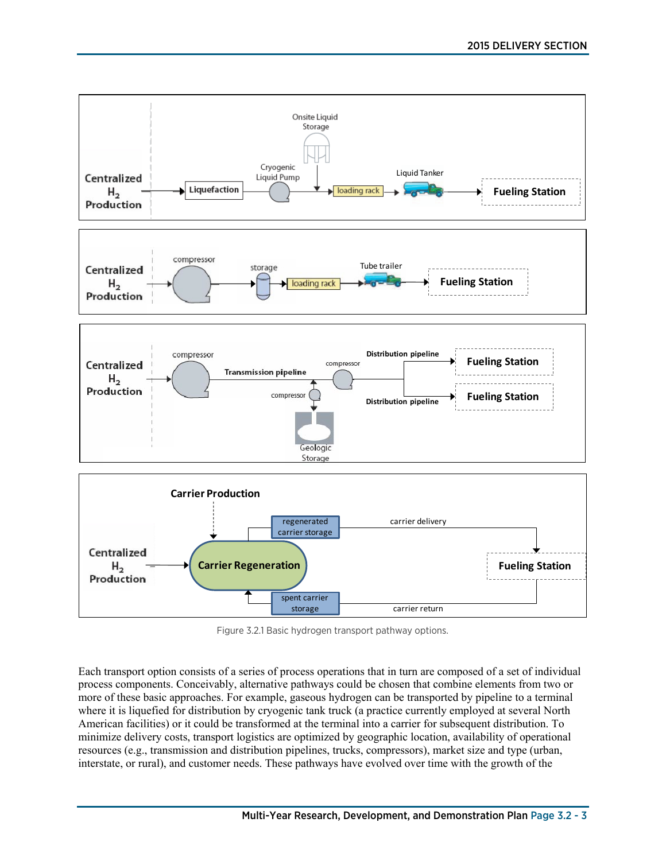

Figure 3.2.1 Basic hydrogen transport pathway options.

Each transport option consists of a series of process operations that in turn are composed of a set of individual process components. Conceivably, alternative pathways could be chosen that combine elements from two or more of these basic approaches. For example, gaseous hydrogen can be transported by pipeline to a terminal where it is liquefied for distribution by cryogenic tank truck (a practice currently employed at several North American facilities) or it could be transformed at the terminal into a carrier for subsequent distribution. To minimize delivery costs, transport logistics are optimized by geographic location, availability of operational resources (e.g., transmission and distribution pipelines, trucks, compressors), market size and type (urban, interstate, or rural), and customer needs. These pathways have evolved over time with the growth of the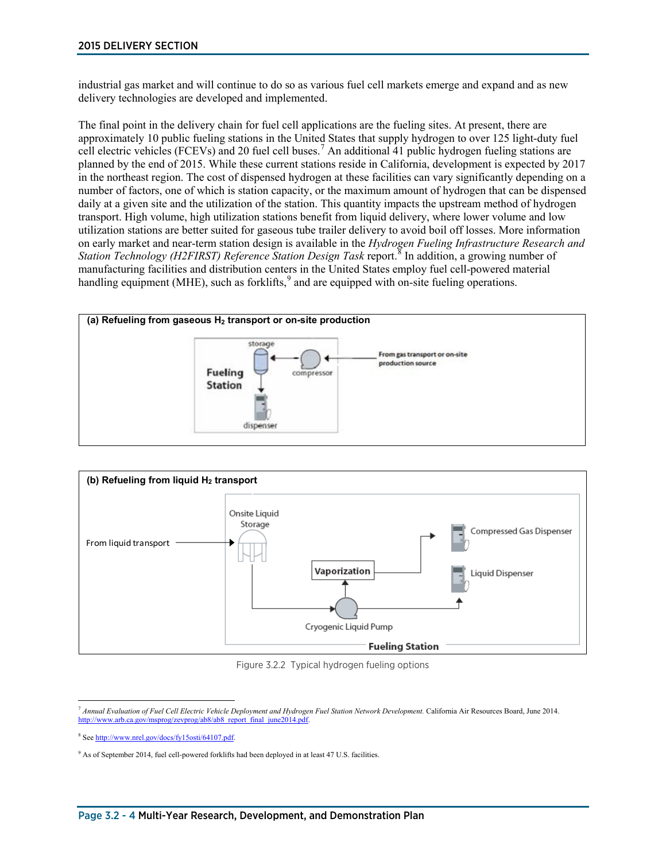industrial gas market and will continue to do so as various fuel cell markets emerge and expand and as new delivery technologies are developed and implemented.

The final point in the delivery chain for fuel cell applications are the fueling sites. At present, there are approximately 10 public fueling stations in the United States that supply hydrogen to over 125 light-duty fuel cell electric vehicles (FCEVs) and 20 fuel cell buses.[7](#page-3-0) An additional 41 public hydrogen fueling stations are planned by the end of 2015. While these current stations reside in California, development is expected by 2017 in the northeast region. The cost of dispensed hydrogen at these facilities can vary significantly depending on a number of factors, one of which is station capacity, or the maximum amount of hydrogen that can be dispensed daily at a given site and the utilization of the station. This quantity impacts the upstream method of hydrogen transport. High volume, high utilization stations benefit from liquid delivery, where lower volume and low utilization stations are better suited for gaseous tube trailer delivery to avoid boil off losses. More information on early market and near-term station design is available in the *Hydrogen Fueling Infrastructure Research and Station Technology (H2FIRST) Reference Station Design Task report.*<sup>[8](#page-3-1)</sup> In addition, a growing number of manufacturing facilities and distribution centers in the United States employ fuel cell-powered material handling equipment (MHE), such as forklifts,<sup>[9](#page-3-2)</sup> and are equipped with on-site fueling operations.





Figure 3.2.2 Typical hydrogen fueling options

<span id="page-3-0"></span> $\overline{a}$ <sup>7</sup> *Annual Evaluation of Fuel Cell Electric Vehicle Deployment and Hydrogen Fuel Station Network Development.* California Air Resources Board, June 2014. http://www.arb.ca.gov/msprog/zevprog/ab8/ab8\_report\_final\_june2014.pdf

<span id="page-3-1"></span><sup>8</sup> Se[e http://www.nrel.gov/docs/fy15osti/64107.pdf.](http://www.nrel.gov/docs/fy15osti/64107.pdf)

<span id="page-3-2"></span><sup>&</sup>lt;sup>9</sup> As of September 2014, fuel cell-powered forklifts had been deployed in at least 47 U.S. facilities.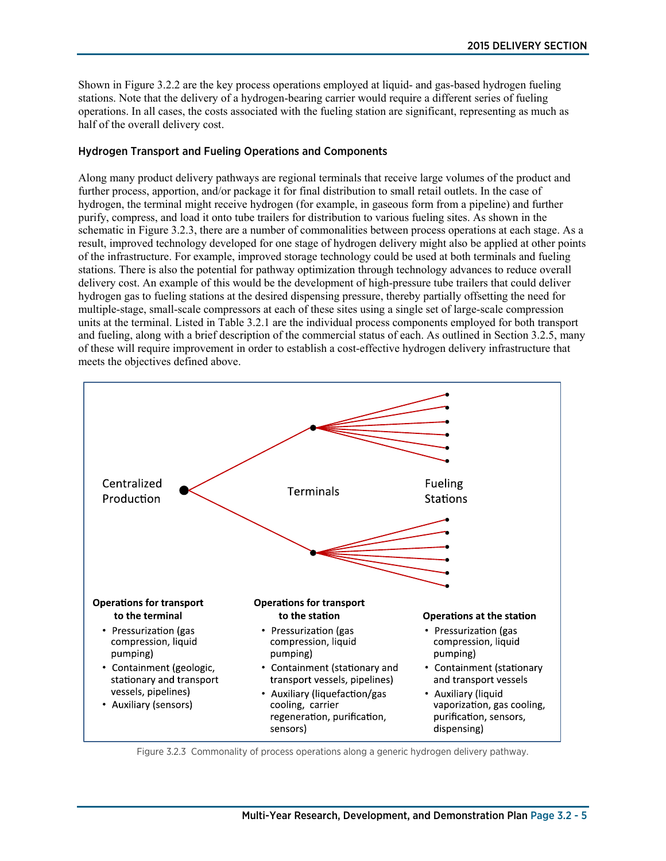Shown in Figure 3.2.2 are the key process operations employed at liquid- and gas-based hydrogen fueling stations. Note that the delivery of a hydrogen-bearing carrier would require a different series of fueling operations. In all cases, the costs associated with the fueling station are significant, representing as much as half of the overall delivery cost.

#### Hydrogen Transport and Fueling Operations and Components

Along many product delivery pathways are regional terminals that receive large volumes of the product and further process, apportion, and/or package it for final distribution to small retail outlets. In the case of hydrogen, the terminal might receive hydrogen (for example, in gaseous form from a pipeline) and further purify, compress, and load it onto tube trailers for distribution to various fueling sites. As shown in the schematic in Figure 3.2.3, there are a number of commonalities between process operations at each stage. As a result, improved technology developed for one stage of hydrogen delivery might also be applied at other points of the infrastructure. For example, improved storage technology could be used at both terminals and fueling stations. There is also the potential for pathway optimization through technology advances to reduce overall delivery cost. An example of this would be the development of high-pressure tube trailers that could deliver hydrogen gas to fueling stations at the desired dispensing pressure, thereby partially offsetting the need for multiple-stage, small-scale compressors at each of these sites using a single set of large-scale compression units at the terminal. Listed in Table 3.2.1 are the individual process components employed for both transport and fueling, along with a brief description of the commercial status of each. As outlined in Section 3.2.5, many of these will require improvement in order to establish a cost-effective hydrogen delivery infrastructure that meets the objectives defined above.



Figure 3.2.3 Commonality of process operations along a generic hydrogen delivery pathway.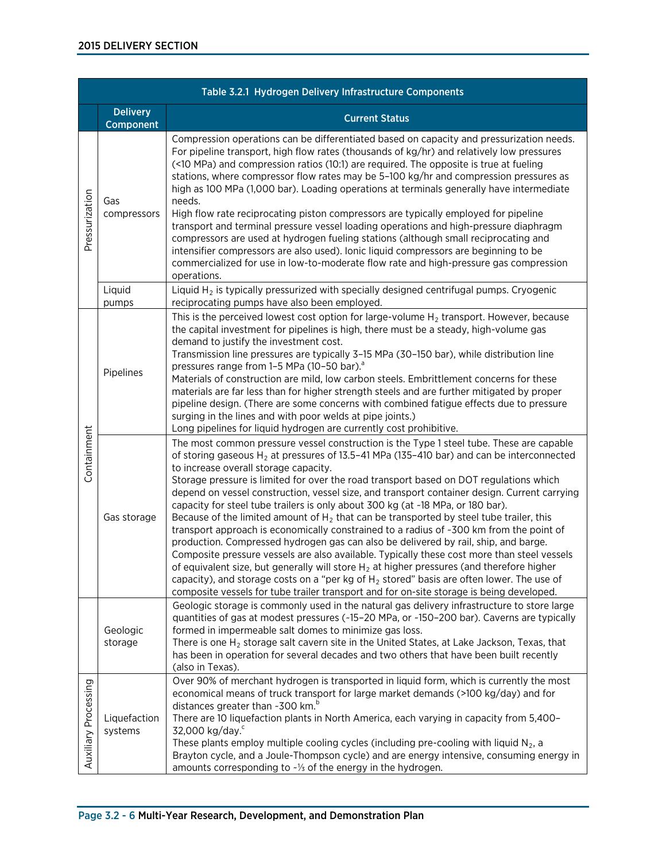|                      | Table 3.2.1 Hydrogen Delivery Infrastructure Components |                                                                                                                                                                                                                                                                                                                                                                                                                                                                                                                                                                                                                                                                                                                                                                                                                                                                                                                                                                                                                                                                                                                                                                                           |  |  |  |  |  |
|----------------------|---------------------------------------------------------|-------------------------------------------------------------------------------------------------------------------------------------------------------------------------------------------------------------------------------------------------------------------------------------------------------------------------------------------------------------------------------------------------------------------------------------------------------------------------------------------------------------------------------------------------------------------------------------------------------------------------------------------------------------------------------------------------------------------------------------------------------------------------------------------------------------------------------------------------------------------------------------------------------------------------------------------------------------------------------------------------------------------------------------------------------------------------------------------------------------------------------------------------------------------------------------------|--|--|--|--|--|
|                      | <b>Delivery</b><br>Component                            | <b>Current Status</b>                                                                                                                                                                                                                                                                                                                                                                                                                                                                                                                                                                                                                                                                                                                                                                                                                                                                                                                                                                                                                                                                                                                                                                     |  |  |  |  |  |
| Pressurization       | Gas<br>compressors                                      | Compression operations can be differentiated based on capacity and pressurization needs.<br>For pipeline transport, high flow rates (thousands of kg/hr) and relatively low pressures<br>(<10 MPa) and compression ratios (10:1) are required. The opposite is true at fueling<br>stations, where compressor flow rates may be 5-100 kg/hr and compression pressures as<br>high as 100 MPa (1,000 bar). Loading operations at terminals generally have intermediate<br>needs.<br>High flow rate reciprocating piston compressors are typically employed for pipeline<br>transport and terminal pressure vessel loading operations and high-pressure diaphragm<br>compressors are used at hydrogen fueling stations (although small reciprocating and<br>intensifier compressors are also used). Ionic liquid compressors are beginning to be<br>commercialized for use in low-to-moderate flow rate and high-pressure gas compression<br>operations.                                                                                                                                                                                                                                      |  |  |  |  |  |
|                      | Liquid<br>pumps                                         | Liquid $H_2$ is typically pressurized with specially designed centrifugal pumps. Cryogenic<br>reciprocating pumps have also been employed.                                                                                                                                                                                                                                                                                                                                                                                                                                                                                                                                                                                                                                                                                                                                                                                                                                                                                                                                                                                                                                                |  |  |  |  |  |
| Containment          | Pipelines                                               | This is the perceived lowest cost option for large-volume $H_2$ transport. However, because<br>the capital investment for pipelines is high, there must be a steady, high-volume gas<br>demand to justify the investment cost.<br>Transmission line pressures are typically 3-15 MPa (30-150 bar), while distribution line<br>pressures range from 1-5 MPa (10-50 bar). <sup>a</sup><br>Materials of construction are mild, low carbon steels. Embrittlement concerns for these<br>materials are far less than for higher strength steels and are further mitigated by proper<br>pipeline design. (There are some concerns with combined fatigue effects due to pressure<br>surging in the lines and with poor welds at pipe joints.)<br>Long pipelines for liquid hydrogen are currently cost prohibitive.                                                                                                                                                                                                                                                                                                                                                                               |  |  |  |  |  |
|                      | Gas storage                                             | The most common pressure vessel construction is the Type 1 steel tube. These are capable<br>of storing gaseous $H_2$ at pressures of 13.5-41 MPa (135-410 bar) and can be interconnected<br>to increase overall storage capacity.<br>Storage pressure is limited for over the road transport based on DOT regulations which<br>depend on vessel construction, vessel size, and transport container design. Current carrying<br>capacity for steel tube trailers is only about 300 kg (at ~18 MPa, or 180 bar).<br>Because of the limited amount of $H_2$ that can be transported by steel tube trailer, this<br>transport approach is economically constrained to a radius of ~300 km from the point of<br>production. Compressed hydrogen gas can also be delivered by rail, ship, and barge.<br>Composite pressure vessels are also available. Typically these cost more than steel vessels<br>of equivalent size, but generally will store $H_2$ at higher pressures (and therefore higher<br>capacity), and storage costs on a "per kg of $H_2$ stored" basis are often lower. The use of<br>composite vessels for tube trailer transport and for on-site storage is being developed. |  |  |  |  |  |
|                      | Geologic<br>storage                                     | Geologic storage is commonly used in the natural gas delivery infrastructure to store large<br>quantities of gas at modest pressures (~15-20 MPa, or ~150-200 bar). Caverns are typically<br>formed in impermeable salt domes to minimize gas loss.<br>There is one $H_2$ storage salt cavern site in the United States, at Lake Jackson, Texas, that<br>has been in operation for several decades and two others that have been built recently<br>(also in Texas).                                                                                                                                                                                                                                                                                                                                                                                                                                                                                                                                                                                                                                                                                                                       |  |  |  |  |  |
| Auxiliary Processing | Liquefaction<br>systems                                 | Over 90% of merchant hydrogen is transported in liquid form, which is currently the most<br>economical means of truck transport for large market demands (>100 kg/day) and for<br>distances greater than ~300 km. <sup>b</sup><br>There are 10 liquefaction plants in North America, each varying in capacity from 5,400-<br>32,000 kg/day. <sup>c</sup><br>These plants employ multiple cooling cycles (including pre-cooling with liquid $N_2$ , a<br>Brayton cycle, and a Joule-Thompson cycle) and are energy intensive, consuming energy in<br>amounts corresponding to $-$ 1/3 of the energy in the hydrogen.                                                                                                                                                                                                                                                                                                                                                                                                                                                                                                                                                                       |  |  |  |  |  |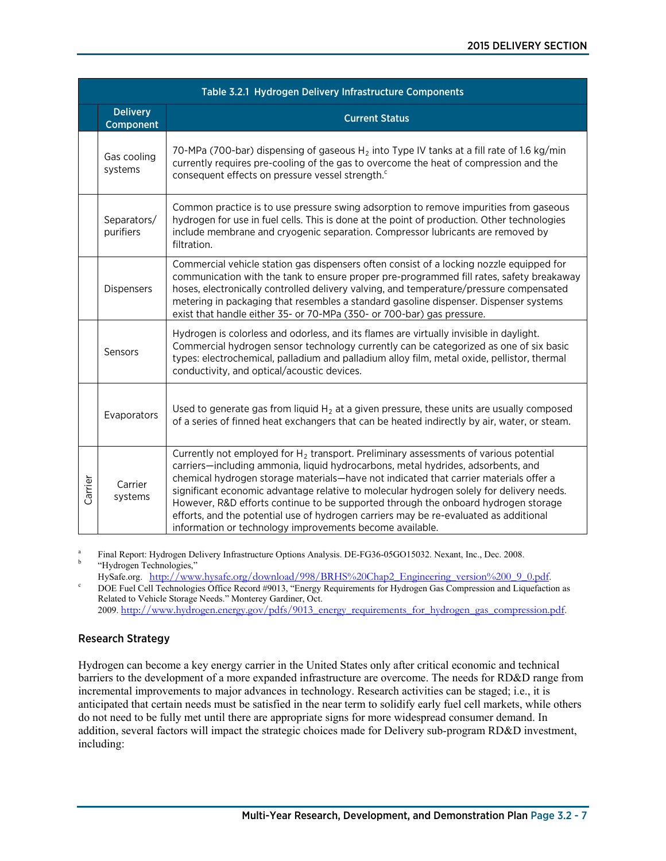|         | Table 3.2.1 Hydrogen Delivery Infrastructure Components |                                                                                                                                                                                                                                                                                                                                                                                                                                                                                                                                                                                                              |  |  |  |  |
|---------|---------------------------------------------------------|--------------------------------------------------------------------------------------------------------------------------------------------------------------------------------------------------------------------------------------------------------------------------------------------------------------------------------------------------------------------------------------------------------------------------------------------------------------------------------------------------------------------------------------------------------------------------------------------------------------|--|--|--|--|
|         | <b>Delivery</b><br>Component                            | <b>Current Status</b>                                                                                                                                                                                                                                                                                                                                                                                                                                                                                                                                                                                        |  |  |  |  |
|         | Gas cooling<br>systems                                  | 70-MPa (700-bar) dispensing of gaseous $H_2$ into Type IV tanks at a fill rate of 1.6 kg/min<br>currently requires pre-cooling of the gas to overcome the heat of compression and the<br>consequent effects on pressure vessel strength. <sup>c</sup>                                                                                                                                                                                                                                                                                                                                                        |  |  |  |  |
|         | Separators/<br>purifiers                                | Common practice is to use pressure swing adsorption to remove impurities from gaseous<br>hydrogen for use in fuel cells. This is done at the point of production. Other technologies<br>include membrane and cryogenic separation. Compressor lubricants are removed by<br>filtration.                                                                                                                                                                                                                                                                                                                       |  |  |  |  |
|         | Dispensers                                              | Commercial vehicle station gas dispensers often consist of a locking nozzle equipped for<br>communication with the tank to ensure proper pre-programmed fill rates, safety breakaway<br>hoses, electronically controlled delivery valving, and temperature/pressure compensated<br>metering in packaging that resembles a standard gasoline dispenser. Dispenser systems<br>exist that handle either 35- or 70-MPa (350- or 700-bar) gas pressure.                                                                                                                                                           |  |  |  |  |
|         | Sensors                                                 | Hydrogen is colorless and odorless, and its flames are virtually invisible in daylight.<br>Commercial hydrogen sensor technology currently can be categorized as one of six basic<br>types: electrochemical, palladium and palladium alloy film, metal oxide, pellistor, thermal<br>conductivity, and optical/acoustic devices.                                                                                                                                                                                                                                                                              |  |  |  |  |
|         | Evaporators                                             | Used to generate gas from liquid $H_2$ at a given pressure, these units are usually composed<br>of a series of finned heat exchangers that can be heated indirectly by air, water, or steam.                                                                                                                                                                                                                                                                                                                                                                                                                 |  |  |  |  |
| Carrier | Carrier<br>systems                                      | Currently not employed for $H_2$ transport. Preliminary assessments of various potential<br>carriers—including ammonia, liquid hydrocarbons, metal hydrides, adsorbents, and<br>chemical hydrogen storage materials-have not indicated that carrier materials offer a<br>significant economic advantage relative to molecular hydrogen solely for delivery needs.<br>However, R&D efforts continue to be supported through the onboard hydrogen storage<br>efforts, and the potential use of hydrogen carriers may be re-evaluated as additional<br>information or technology improvements become available. |  |  |  |  |

Final Report: Hydrogen Delivery Infrastructure Options Analysis. DE-FG36-05GO15032. Nexant, Inc., Dec. 2008. "Hydrogen Technologies,"<br>HySafe.org. http://www.hysafe.org/download/998/BRHS%20Chap2 Engineering version%200 9 0.pdf.

DOE Fuel Cell Technologies Office Record #9013, "Energy Requirements for Hydrogen Gas Compression and Liquefaction as Related to Vehicle Storage Needs." Monterey Gardiner, Oct. 2009. [http://www.hydrogen.energy.gov/pdfs/9013\\_energy\\_requirements\\_for\\_hydrogen\\_gas\\_compression.pdf](http://www.hydrogen.energy.gov/pdfs/9013_energy_requirements_for_hydrogen_gas_compression.pdf).

### Research Strategy

Hydrogen can become a key energy carrier in the United States only after critical economic and technical barriers to the development of a more expanded infrastructure are overcome. The needs for RD&D range from incremental improvements to major advances in technology. Research activities can be staged; i.e., it is anticipated that certain needs must be satisfied in the near term to solidify early fuel cell markets, while others do not need to be fully met until there are appropriate signs for more widespread consumer demand. In addition, several factors will impact the strategic choices made for Delivery sub-program RD&D investment, including: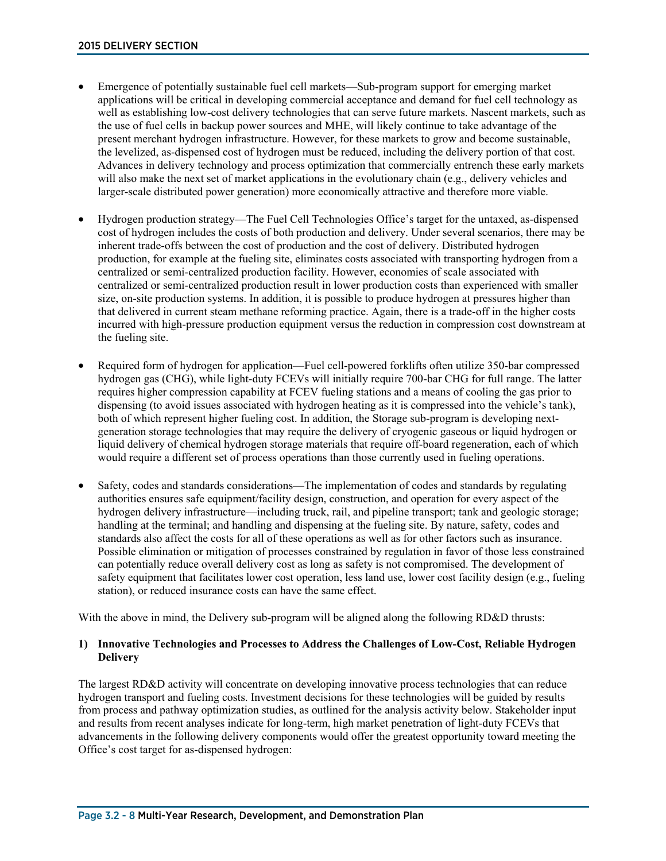- Emergence of potentially sustainable fuel cell markets—Sub-program support for emerging market applications will be critical in developing commercial acceptance and demand for fuel cell technology as well as establishing low-cost delivery technologies that can serve future markets. Nascent markets, such as the use of fuel cells in backup power sources and MHE, will likely continue to take advantage of the present merchant hydrogen infrastructure. However, for these markets to grow and become sustainable, the levelized, as-dispensed cost of hydrogen must be reduced, including the delivery portion of that cost. Advances in delivery technology and process optimization that commercially entrench these early markets will also make the next set of market applications in the evolutionary chain (e.g., delivery vehicles and larger-scale distributed power generation) more economically attractive and therefore more viable.
- Hydrogen production strategy—The Fuel Cell Technologies Office's target for the untaxed, as-dispensed cost of hydrogen includes the costs of both production and delivery. Under several scenarios, there may be inherent trade-offs between the cost of production and the cost of delivery. Distributed hydrogen production, for example at the fueling site, eliminates costs associated with transporting hydrogen from a centralized or semi-centralized production facility. However, economies of scale associated with centralized or semi-centralized production result in lower production costs than experienced with smaller size, on-site production systems. In addition, it is possible to produce hydrogen at pressures higher than that delivered in current steam methane reforming practice. Again, there is a trade-off in the higher costs incurred with high-pressure production equipment versus the reduction in compression cost downstream at the fueling site.
- Required form of hydrogen for application—Fuel cell-powered forklifts often utilize 350-bar compressed hydrogen gas (CHG), while light-duty FCEVs will initially require 700-bar CHG for full range. The latter requires higher compression capability at FCEV fueling stations and a means of cooling the gas prior to dispensing (to avoid issues associated with hydrogen heating as it is compressed into the vehicle's tank), both of which represent higher fueling cost. In addition, the Storage sub-program is developing nextgeneration storage technologies that may require the delivery of cryogenic gaseous or liquid hydrogen or liquid delivery of chemical hydrogen storage materials that require off-board regeneration, each of which would require a different set of process operations than those currently used in fueling operations.
- Safety, codes and standards considerations—The implementation of codes and standards by regulating authorities ensures safe equipment/facility design, construction, and operation for every aspect of the hydrogen delivery infrastructure—including truck, rail, and pipeline transport; tank and geologic storage; handling at the terminal; and handling and dispensing at the fueling site. By nature, safety, codes and standards also affect the costs for all of these operations as well as for other factors such as insurance. Possible elimination or mitigation of processes constrained by regulation in favor of those less constrained can potentially reduce overall delivery cost as long as safety is not compromised. The development of safety equipment that facilitates lower cost operation, less land use, lower cost facility design (e.g., fueling station), or reduced insurance costs can have the same effect.

With the above in mind, the Delivery sub-program will be aligned along the following RD&D thrusts:

#### **1) Innovative Technologies and Processes to Address the Challenges of Low-Cost, Reliable Hydrogen Delivery**

The largest RD&D activity will concentrate on developing innovative process technologies that can reduce hydrogen transport and fueling costs. Investment decisions for these technologies will be guided by results from process and pathway optimization studies, as outlined for the analysis activity below. Stakeholder input and results from recent analyses indicate for long-term, high market penetration of light-duty FCEVs that advancements in the following delivery components would offer the greatest opportunity toward meeting the Office's cost target for as-dispensed hydrogen: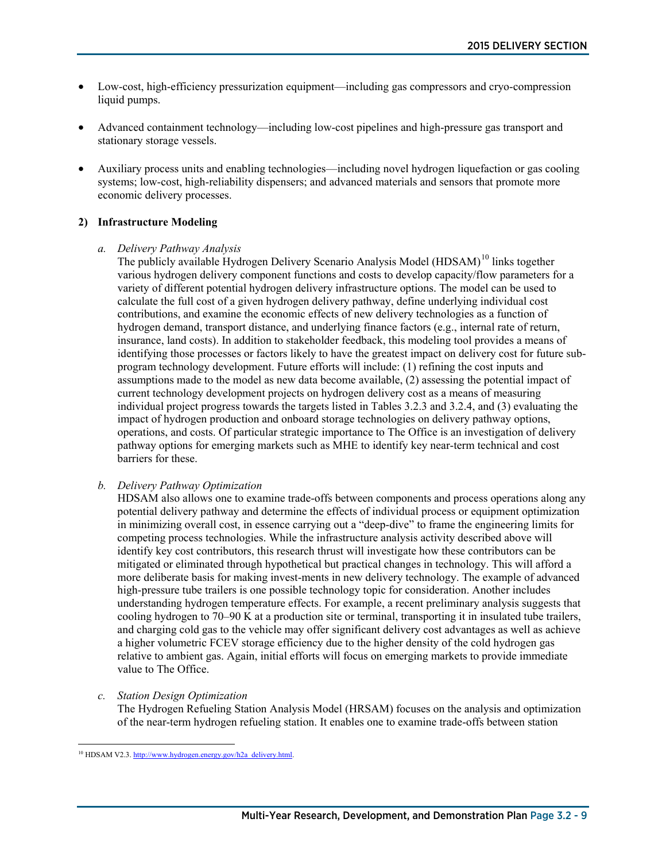- Low-cost, high-efficiency pressurization equipment—including gas compressors and cryo-compression liquid pumps.
- Advanced containment technology—including low-cost pipelines and high-pressure gas transport and stationary storage vessels.
- Auxiliary process units and enabling technologies—including novel hydrogen liquefaction or gas cooling systems; low-cost, high-reliability dispensers; and advanced materials and sensors that promote more economic delivery processes.

#### **2) Infrastructure Modeling**

#### *a. Delivery Pathway Analysis*

The publicly available Hydrogen Delivery Scenario Analysis Model (HDSAM)<sup>[10](#page-8-0)</sup> links together various hydrogen delivery component functions and costs to develop capacity/flow parameters for a variety of different potential hydrogen delivery infrastructure options. The model can be used to calculate the full cost of a given hydrogen delivery pathway, define underlying individual cost contributions, and examine the economic effects of new delivery technologies as a function of hydrogen demand, transport distance, and underlying finance factors (e.g., internal rate of return, insurance, land costs). In addition to stakeholder feedback, this modeling tool provides a means of identifying those processes or factors likely to have the greatest impact on delivery cost for future subprogram technology development. Future efforts will include: (1) refining the cost inputs and assumptions made to the model as new data become available, (2) assessing the potential impact of current technology development projects on hydrogen delivery cost as a means of measuring individual project progress towards the targets listed in Tables 3.2.3 and 3.2.4, and (3) evaluating the impact of hydrogen production and onboard storage technologies on delivery pathway options, operations, and costs. Of particular strategic importance to The Office is an investigation of delivery pathway options for emerging markets such as MHE to identify key near-term technical and cost barriers for these.

#### *b. Delivery Pathway Optimization*

HDSAM also allows one to examine trade-offs between components and process operations along any potential delivery pathway and determine the effects of individual process or equipment optimization in minimizing overall cost, in essence carrying out a "deep-dive" to frame the engineering limits for competing process technologies. While the infrastructure analysis activity described above will identify key cost contributors, this research thrust will investigate how these contributors can be mitigated or eliminated through hypothetical but practical changes in technology. This will afford a more deliberate basis for making invest-ments in new delivery technology. The example of advanced high-pressure tube trailers is one possible technology topic for consideration. Another includes understanding hydrogen temperature effects. For example, a recent preliminary analysis suggests that cooling hydrogen to 70–90 K at a production site or terminal, transporting it in insulated tube trailers, and charging cold gas to the vehicle may offer significant delivery cost advantages as well as achieve a higher volumetric FCEV storage efficiency due to the higher density of the cold hydrogen gas relative to ambient gas. Again, initial efforts will focus on emerging markets to provide immediate value to The Office.

*c. Station Design Optimization*

The Hydrogen Refueling Station Analysis Model (HRSAM) focuses on the analysis and optimization of the near-term hydrogen refueling station. It enables one to examine trade-offs between station

<span id="page-8-0"></span> $\overline{a}$ <sup>10</sup> HDSAM V2.3. [http://www.hydrogen.energy.gov/h2a\\_delivery.html.](http://www.hydrogen.energy.gov/h2a_delivery.html)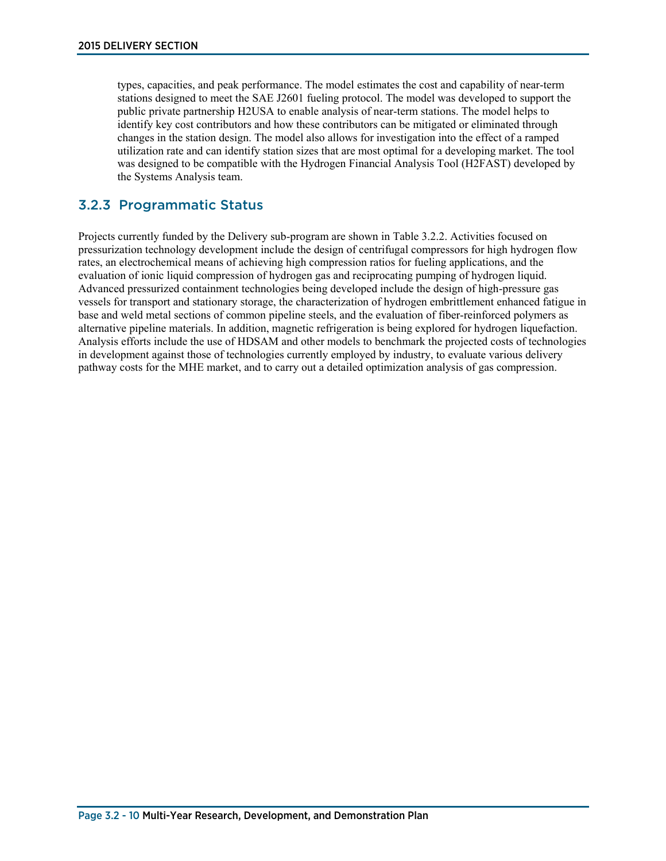types, capacities, and peak performance. The model estimates the cost and capability of near-term stations designed to meet the SAE J2601 fueling protocol. The model was developed to support the public private partnership H2USA to enable analysis of near-term stations. The model helps to identify key cost contributors and how these contributors can be mitigated or eliminated through changes in the station design. The model also allows for investigation into the effect of a ramped utilization rate and can identify station sizes that are most optimal for a developing market. The tool was designed to be compatible with the Hydrogen Financial Analysis Tool (H2FAST) developed by the Systems Analysis team.

### 3.2.3 Programmatic Status

Projects currently funded by the Delivery sub-program are shown in Table 3.2.2. Activities focused on pressurization technology development include the design of centrifugal compressors for high hydrogen flow rates, an electrochemical means of achieving high compression ratios for fueling applications, and the evaluation of ionic liquid compression of hydrogen gas and reciprocating pumping of hydrogen liquid. Advanced pressurized containment technologies being developed include the design of high-pressure gas vessels for transport and stationary storage, the characterization of hydrogen embrittlement enhanced fatigue in base and weld metal sections of common pipeline steels, and the evaluation of fiber-reinforced polymers as alternative pipeline materials. In addition, magnetic refrigeration is being explored for hydrogen liquefaction. Analysis efforts include the use of HDSAM and other models to benchmark the projected costs of technologies in development against those of technologies currently employed by industry, to evaluate various delivery pathway costs for the MHE market, and to carry out a detailed optimization analysis of gas compression.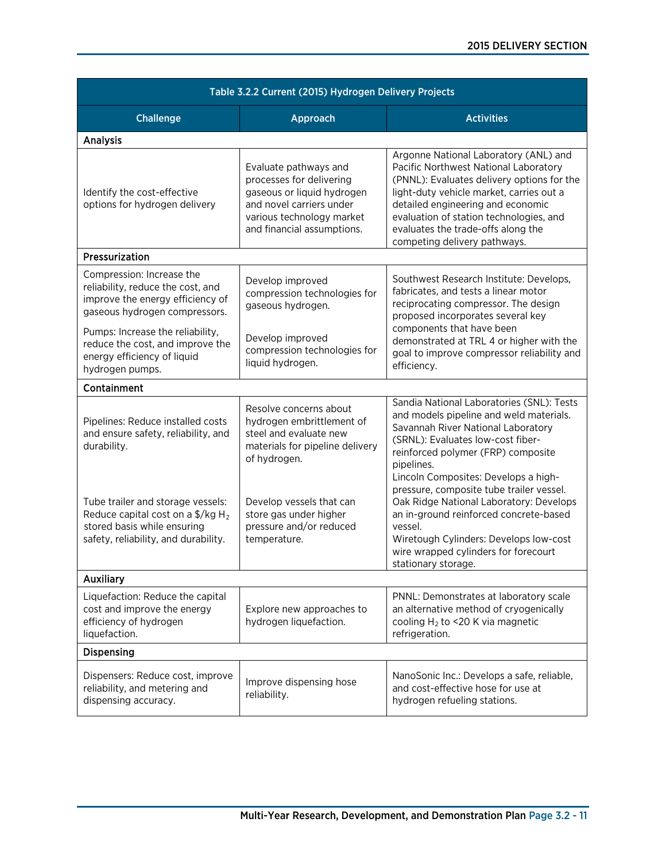| Table 3.2.2 Current (2015) Hydrogen Delivery Projects                                                                                                              |                                                                                                                                                                        |                                                                                                                                                                                                                                                                                                                                |  |  |  |
|--------------------------------------------------------------------------------------------------------------------------------------------------------------------|------------------------------------------------------------------------------------------------------------------------------------------------------------------------|--------------------------------------------------------------------------------------------------------------------------------------------------------------------------------------------------------------------------------------------------------------------------------------------------------------------------------|--|--|--|
| <b>Challenge</b>                                                                                                                                                   | Approach                                                                                                                                                               | <b>Activities</b>                                                                                                                                                                                                                                                                                                              |  |  |  |
| <b>Analysis</b>                                                                                                                                                    |                                                                                                                                                                        |                                                                                                                                                                                                                                                                                                                                |  |  |  |
| Identify the cost-effective<br>options for hydrogen delivery                                                                                                       | Evaluate pathways and<br>processes for delivering<br>gaseous or liquid hydrogen<br>and novel carriers under<br>various technology market<br>and financial assumptions. | Argonne National Laboratory (ANL) and<br>Pacific Northwest National Laboratory<br>(PNNL): Evaluates delivery options for the<br>light-duty vehicle market, carries out a<br>detailed engineering and economic<br>evaluation of station technologies, and<br>evaluates the trade-offs along the<br>competing delivery pathways. |  |  |  |
| Pressurization                                                                                                                                                     |                                                                                                                                                                        |                                                                                                                                                                                                                                                                                                                                |  |  |  |
| Compression: Increase the<br>reliability, reduce the cost, and<br>improve the energy efficiency of<br>gaseous hydrogen compressors.                                | Develop improved<br>compression technologies for<br>gaseous hydrogen.                                                                                                  | Southwest Research Institute: Develops,<br>fabricates, and tests a linear motor<br>reciprocating compressor. The design<br>proposed incorporates several key                                                                                                                                                                   |  |  |  |
| Pumps: Increase the reliability,<br>reduce the cost, and improve the<br>energy efficiency of liquid<br>hydrogen pumps.                                             | Develop improved<br>compression technologies for<br>liquid hydrogen.                                                                                                   | components that have been<br>demonstrated at TRL 4 or higher with the<br>goal to improve compressor reliability and<br>efficiency.                                                                                                                                                                                             |  |  |  |
| Containment                                                                                                                                                        |                                                                                                                                                                        |                                                                                                                                                                                                                                                                                                                                |  |  |  |
| Pipelines: Reduce installed costs<br>and ensure safety, reliability, and<br>durability.                                                                            | Resolve concerns about<br>hydrogen embrittlement of<br>steel and evaluate new<br>materials for pipeline delivery<br>of hydrogen.                                       | Sandia National Laboratories (SNL): Tests<br>and models pipeline and weld materials.<br>Savannah River National Laboratory<br>(SRNL): Evaluates low-cost fiber-<br>reinforced polymer (FRP) composite<br>pipelines.<br>Lincoln Composites: Develops a high-                                                                    |  |  |  |
| Tube trailer and storage vessels:<br>Reduce capital cost on a $\frac{5}{kg}$ H <sub>2</sub><br>stored basis while ensuring<br>safety, reliability, and durability. | Develop vessels that can<br>store gas under higher<br>pressure and/or reduced<br>temperature.                                                                          | pressure, composite tube trailer vessel.<br>Oak Ridge National Laboratory: Develops<br>an in-ground reinforced concrete-based<br>vessel.<br>Wiretough Cylinders: Develops low-cost<br>wire wrapped cylinders for forecourt<br>stationary storage.                                                                              |  |  |  |
| <b>Auxiliary</b>                                                                                                                                                   |                                                                                                                                                                        |                                                                                                                                                                                                                                                                                                                                |  |  |  |
| Liquefaction: Reduce the capital<br>cost and improve the energy<br>efficiency of hydrogen<br>liquefaction.                                                         | Explore new approaches to<br>hydrogen liquefaction.                                                                                                                    | PNNL: Demonstrates at laboratory scale<br>an alternative method of cryogenically<br>cooling $H_2$ to <20 K via magnetic<br>refrigeration.                                                                                                                                                                                      |  |  |  |
| Dispensing                                                                                                                                                         |                                                                                                                                                                        |                                                                                                                                                                                                                                                                                                                                |  |  |  |
| Dispensers: Reduce cost, improve<br>reliability, and metering and<br>dispensing accuracy.                                                                          | Improve dispensing hose<br>reliability.                                                                                                                                | NanoSonic Inc.: Develops a safe, reliable,<br>and cost-effective hose for use at<br>hydrogen refueling stations.                                                                                                                                                                                                               |  |  |  |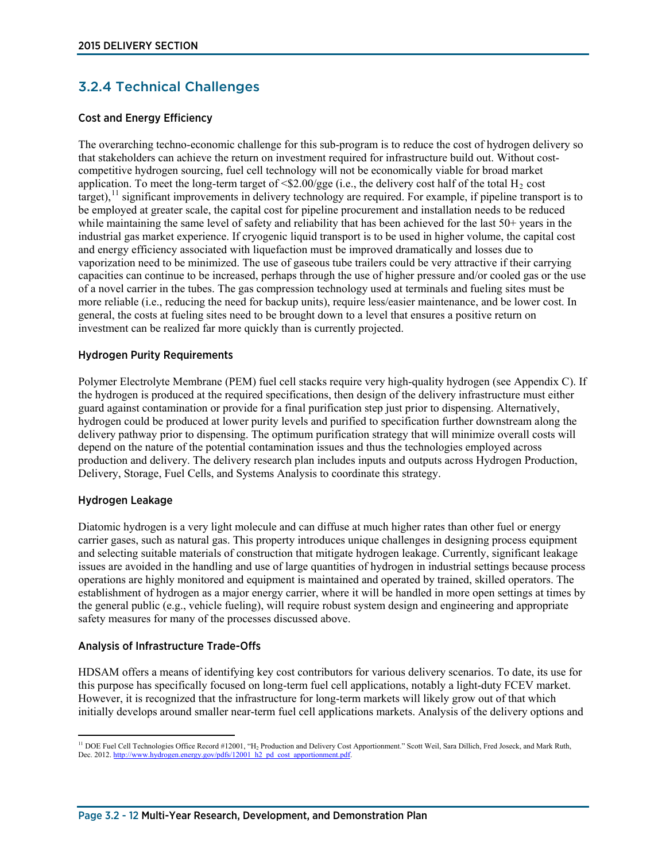## 3.2.4 Technical Challenges

#### Cost and Energy Efficiency

The overarching techno-economic challenge for this sub-program is to reduce the cost of hydrogen delivery so that stakeholders can achieve the return on investment required for infrastructure build out. Without costcompetitive hydrogen sourcing, fuel cell technology will not be economically viable for broad market application. To meet the long-term target of  $\langle $2.00/gge$  (i.e., the delivery cost half of the total H<sub>2</sub> cost  $t_{\text{target}}$ ),  $t_{\text{1}}$  significant improvements in delivery technology are required. For example, if pipeline transport is to be employed at greater scale, the capital cost for pipeline procurement and installation needs to be reduced while maintaining the same level of safety and reliability that has been achieved for the last 50+ years in the industrial gas market experience. If cryogenic liquid transport is to be used in higher volume, the capital cost and energy efficiency associated with liquefaction must be improved dramatically and losses due to vaporization need to be minimized. The use of gaseous tube trailers could be very attractive if their carrying capacities can continue to be increased, perhaps through the use of higher pressure and/or cooled gas or the use of a novel carrier in the tubes. The gas compression technology used at terminals and fueling sites must be more reliable (i.e., reducing the need for backup units), require less/easier maintenance, and be lower cost. In general, the costs at fueling sites need to be brought down to a level that ensures a positive return on investment can be realized far more quickly than is currently projected.

#### Hydrogen Purity Requirements

Polymer Electrolyte Membrane (PEM) fuel cell stacks require very high-quality hydrogen (see Appendix C). If the hydrogen is produced at the required specifications, then design of the delivery infrastructure must either guard against contamination or provide for a final purification step just prior to dispensing. Alternatively, hydrogen could be produced at lower purity levels and purified to specification further downstream along the delivery pathway prior to dispensing. The optimum purification strategy that will minimize overall costs will depend on the nature of the potential contamination issues and thus the technologies employed across production and delivery. The delivery research plan includes inputs and outputs across Hydrogen Production, Delivery, Storage, Fuel Cells, and Systems Analysis to coordinate this strategy.

#### Hydrogen Leakage

Diatomic hydrogen is a very light molecule and can diffuse at much higher rates than other fuel or energy carrier gases, such as natural gas. This property introduces unique challenges in designing process equipment and selecting suitable materials of construction that mitigate hydrogen leakage. Currently, significant leakage issues are avoided in the handling and use of large quantities of hydrogen in industrial settings because process operations are highly monitored and equipment is maintained and operated by trained, skilled operators. The establishment of hydrogen as a major energy carrier, where it will be handled in more open settings at times by the general public (e.g., vehicle fueling), will require robust system design and engineering and appropriate safety measures for many of the processes discussed above.

#### Analysis of Infrastructure Trade-Offs

HDSAM offers a means of identifying key cost contributors for various delivery scenarios. To date, its use for this purpose has specifically focused on long-term fuel cell applications, notably a light-duty FCEV market. However, it is recognized that the infrastructure for long-term markets will likely grow out of that which initially develops around smaller near-term fuel cell applications markets. Analysis of the delivery options and

<span id="page-11-0"></span> $\overline{a}$ <sup>11</sup> DOE Fuel Cell Technologies Office Record #12001, "H<sub>2</sub> Production and Delivery Cost Apportionment." Scott Weil, Sara Dillich, Fred Joseck, and Mark Ruth, Dec. 2012[. http://www.hydrogen.energy.gov/pdfs/12001\\_h2\\_pd\\_cost\\_apportionment.pdf.](http://www.hydrogen.energy.gov/pdfs/12001_h2_pd_cost_apportionment.pdf)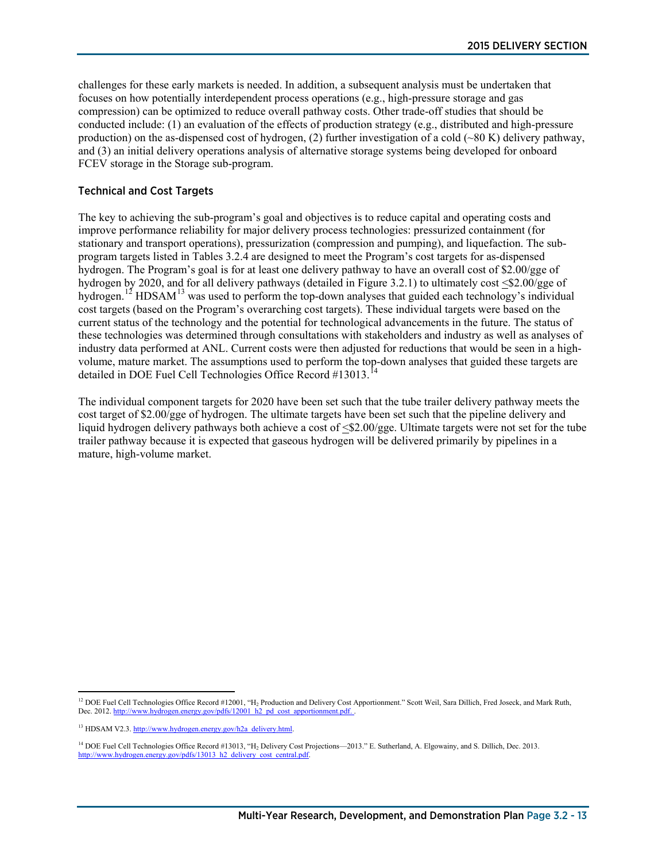challenges for these early markets is needed. In addition, a subsequent analysis must be undertaken that focuses on how potentially interdependent process operations (e.g., high-pressure storage and gas compression) can be optimized to reduce overall pathway costs. Other trade-off studies that should be conducted include: (1) an evaluation of the effects of production strategy (e.g., distributed and high-pressure production) on the as-dispensed cost of hydrogen, (2) further investigation of a cold  $({\sim}80 \text{ K})$  delivery pathway, and (3) an initial delivery operations analysis of alternative storage systems being developed for onboard FCEV storage in the Storage sub-program.

#### Technical and Cost Targets

The key to achieving the sub-program's goal and objectives is to reduce capital and operating costs and improve performance reliability for major delivery process technologies: pressurized containment (for stationary and transport operations), pressurization (compression and pumping), and liquefaction. The subprogram targets listed in Tables 3.2.4 are designed to meet the Program's cost targets for as-dispensed hydrogen. The Program's goal is for at least one delivery pathway to have an overall cost of \$2.00/gge of hydrogen by 2020, and for all delivery pathways (detailed in Figure 3.2.1) to ultimately cost <\$2.00/gge of hydrogen.<sup>[12](#page-12-0)</sup> HDSAM<sup>[13](#page-12-1)</sup> was used to perform the top-down analyses that guided each technology's individual cost targets (based on the Program's overarching cost targets). These individual targets were based on the current status of the technology and the potential for technological advancements in the future. The status of these technologies was determined through consultations with stakeholders and industry as well as analyses of industry data performed at ANL. Current costs were then adjusted for reductions that would be seen in a highvolume, mature market. The assumptions used to perform the top-down analyses that guided these targets are detailed in DOE Fuel Cell Technologies Office Record #13013.<sup>[14](#page-12-2)</sup>

The individual component targets for 2020 have been set such that the tube trailer delivery pathway meets the cost target of \$2.00/gge of hydrogen. The ultimate targets have been set such that the pipeline delivery and liquid hydrogen delivery pathways both achieve a cost of  $\leq 2.00/gge$ . Ultimate targets were not set for the tube trailer pathway because it is expected that gaseous hydrogen will be delivered primarily by pipelines in a mature, high-volume market.

<span id="page-12-0"></span> $\overline{a}$ <sup>12</sup> DOE Fuel Cell Technologies Office Record #12001, "H<sub>2</sub> Production and Delivery Cost Apportionment." Scott Weil, Sara Dillich, Fred Joseck, and Mark Ruth, Dec. 2012. http://www.hydrogen.energy.gov/pdfs/12001\_h2\_pd\_cost\_apportion

<span id="page-12-1"></span><sup>&</sup>lt;sup>13</sup> HDSAM V2.3. [http://www.hydrogen.energy.gov/h2a\\_delivery.html.](http://www.hydrogen.energy.gov/h2a_delivery.html)

<span id="page-12-2"></span><sup>&</sup>lt;sup>14</sup> DOE Fuel Cell Technologies Office Record #13013, "H<sub>2</sub> Delivery Cost Projections—2013." E. Sutherland, A. Elgowainy, and S. Dillich, Dec. 2013. [http://www.hydrogen.energy.gov/pdfs/13013\\_h2\\_delivery\\_cost\\_central.pdf.](http://www.hydrogen.energy.gov/pdfs/13013_h2_delivery_cost_central.pdf)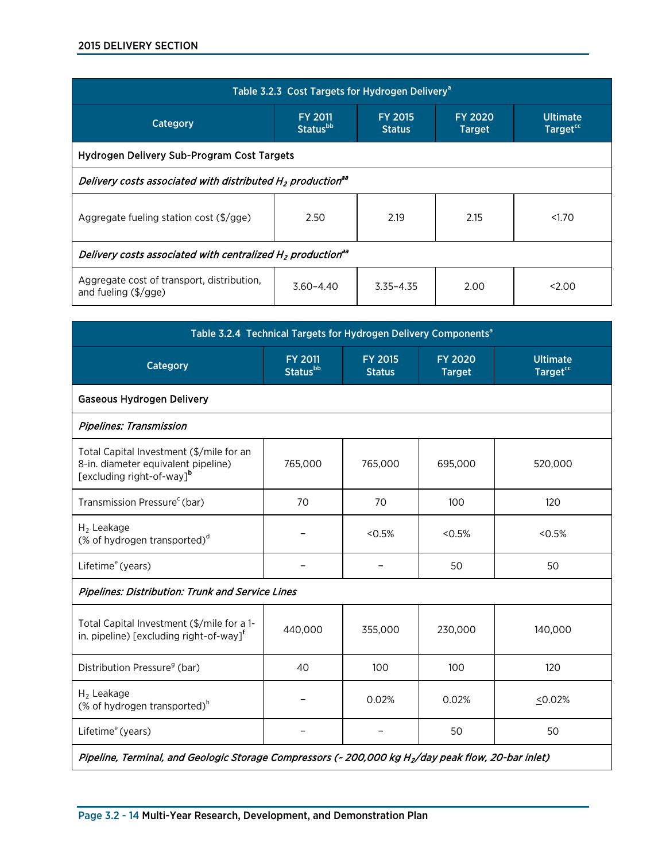| Table 3.2.3 Cost Targets for Hydrogen Delivery <sup>a</sup>                        |                                               |                                 |                                 |                                         |
|------------------------------------------------------------------------------------|-----------------------------------------------|---------------------------------|---------------------------------|-----------------------------------------|
| Category                                                                           | <b>FY 2011</b><br><b>Status</b> <sup>bb</sup> | <b>FY 2015</b><br><b>Status</b> | <b>FY 2020</b><br><b>Target</b> | <b>Ultimate</b><br>Target <sup>cc</sup> |
| Hydrogen Delivery Sub-Program Cost Targets                                         |                                               |                                 |                                 |                                         |
| Delivery costs associated with distributed H <sub>2</sub> production <sup>aa</sup> |                                               |                                 |                                 |                                         |
| Aggregate fueling station cost $(\frac{5}{9}$ gge)                                 | 2.50                                          | 2.19                            | 2.15                            | 1.70                                    |
| Delivery costs associated with centralized H <sub>2</sub> production <sup>aa</sup> |                                               |                                 |                                 |                                         |
| Aggregate cost of transport, distribution,<br>and fueling $(\frac{5}{9}$ gge)      | $3.60 - 4.40$                                 | $3.35 - 4.35$                   | 2.00                            | 2.00                                    |

| Table 3.2.4 Technical Targets for Hydrogen Delivery Components <sup>a</sup>                                              |                                               |                                 |                                 |                                               |
|--------------------------------------------------------------------------------------------------------------------------|-----------------------------------------------|---------------------------------|---------------------------------|-----------------------------------------------|
| Category                                                                                                                 | <b>FY 2011</b><br><b>Status</b> <sup>bb</sup> | <b>FY 2015</b><br><b>Status</b> | <b>FY 2020</b><br><b>Target</b> | <b>Ultimate</b><br><b>Target<sup>cc</sup></b> |
| <b>Gaseous Hydrogen Delivery</b>                                                                                         |                                               |                                 |                                 |                                               |
| <b>Pipelines: Transmission</b>                                                                                           |                                               |                                 |                                 |                                               |
| Total Capital Investment (\$/mile for an<br>8-in. diameter equivalent pipeline)<br>[excluding right-of-way] <sup>b</sup> | 765,000                                       | 765,000                         | 695,000                         | 520,000                                       |
| Transmission Pressure <sup>c</sup> (bar)                                                                                 | 70                                            | 70                              | 100                             | 120                                           |
| $H2$ Leakage<br>(% of hydrogen transported) <sup>d</sup>                                                                 |                                               | < 0.5%                          | $< 0.5\%$                       | < 0.5%                                        |
| Lifetime <sup>e</sup> (years)                                                                                            |                                               |                                 | 50                              | 50                                            |
| <b>Pipelines: Distribution: Trunk and Service Lines</b>                                                                  |                                               |                                 |                                 |                                               |
| Total Capital Investment (\$/mile for a 1-<br>in. pipeline) [excluding right-of-way] <sup>f</sup>                        | 440,000                                       | 355,000                         | 230,000                         | 140,000                                       |
| Distribution Pressure <sup>9</sup> (bar)                                                                                 | 40                                            | 100                             | 100                             | 120                                           |
| $H_2$ Leakage<br>(% of hydrogen transported) $^h$                                                                        |                                               | 0.02%                           | 0.02%                           | 50.02%                                        |
| Lifetime <sup>e</sup> (years)                                                                                            |                                               |                                 | 50                              | 50                                            |
| Pipeline, Terminal, and Geologic Storage Compressors (~ 200,000 kg H <sub>2</sub> /day peak flow, 20-bar inlet)          |                                               |                                 |                                 |                                               |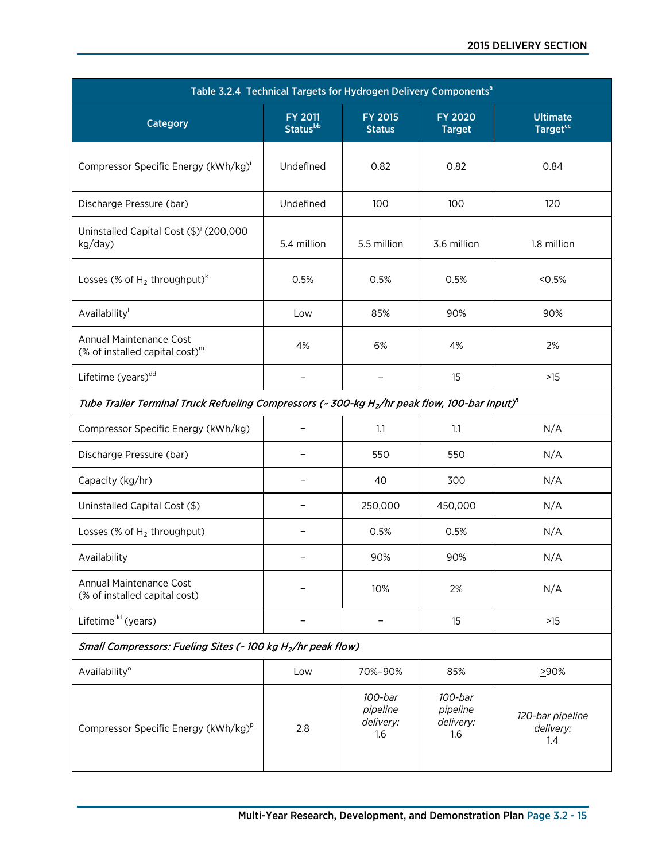| Table 3.2.4 Technical Targets for Hydrogen Delivery Components <sup>a</sup>                                           |                                               |                                         |                                         |                                         |
|-----------------------------------------------------------------------------------------------------------------------|-----------------------------------------------|-----------------------------------------|-----------------------------------------|-----------------------------------------|
| Category                                                                                                              | <b>FY 2011</b><br><b>Status</b> <sup>bb</sup> | <b>FY 2015</b><br><b>Status</b>         | <b>FY 2020</b><br><b>Target</b>         | <b>Ultimate</b><br>Target <sup>cc</sup> |
| Compressor Specific Energy (kWh/kg)'                                                                                  | Undefined                                     | 0.82                                    | 0.82                                    | 0.84                                    |
| Discharge Pressure (bar)                                                                                              | Undefined                                     | 100                                     | 100                                     | 120                                     |
| Uninstalled Capital Cost (\$) <sup>j</sup> (200,000<br>kg/day)                                                        | 5.4 million                                   | 5.5 million                             | 3.6 million                             | 1.8 million                             |
| Losses (% of $H_2$ throughput) <sup>k</sup>                                                                           | 0.5%                                          | 0.5%                                    | 0.5%                                    | < 0.5%                                  |
| Availability                                                                                                          | Low                                           | 85%                                     | 90%                                     | 90%                                     |
| Annual Maintenance Cost<br>(% of installed capital cost) $m$                                                          | 4%                                            | 6%                                      | 4%                                      | 2%                                      |
| Lifetime (years) <sup>dd</sup>                                                                                        |                                               | -                                       | 15                                      | $>15$                                   |
| Tube Trailer Terminal Truck Refueling Compressors (~ 300-kg H <sub>2</sub> /hr peak flow, 100-bar Input) <sup>n</sup> |                                               |                                         |                                         |                                         |
| Compressor Specific Energy (kWh/kg)                                                                                   |                                               | 1.1                                     | 1.1                                     | N/A                                     |
| Discharge Pressure (bar)                                                                                              |                                               | 550                                     | 550                                     | N/A                                     |
| Capacity (kg/hr)                                                                                                      |                                               | 40                                      | 300                                     | N/A                                     |
| Uninstalled Capital Cost (\$)                                                                                         |                                               | 250,000                                 | 450,000                                 | N/A                                     |
| Losses (% of $H_2$ throughput)                                                                                        |                                               | 0.5%                                    | 0.5%                                    | N/A                                     |
| Availability                                                                                                          |                                               | 90%                                     | 90%                                     | N/A                                     |
| Annual Maintenance Cost<br>(% of installed capital cost)                                                              |                                               | 10%                                     | 2%                                      | N/A                                     |
| Lifetime <sup>dd</sup> (years)                                                                                        |                                               | -                                       | 15                                      | $>15$                                   |
| Small Compressors: Fueling Sites (~ 100 kg H <sub>2</sub> /hr peak flow)                                              |                                               |                                         |                                         |                                         |
| Availability <sup>o</sup>                                                                                             | Low                                           | 70%-90%                                 | 85%                                     | 290%                                    |
| Compressor Specific Energy (kWh/kg) <sup>p</sup>                                                                      | 2.8                                           | 100-bar<br>pipeline<br>delivery:<br>1.6 | 100-bar<br>pipeline<br>delivery:<br>1.6 | 120-bar pipeline<br>delivery:<br>1.4    |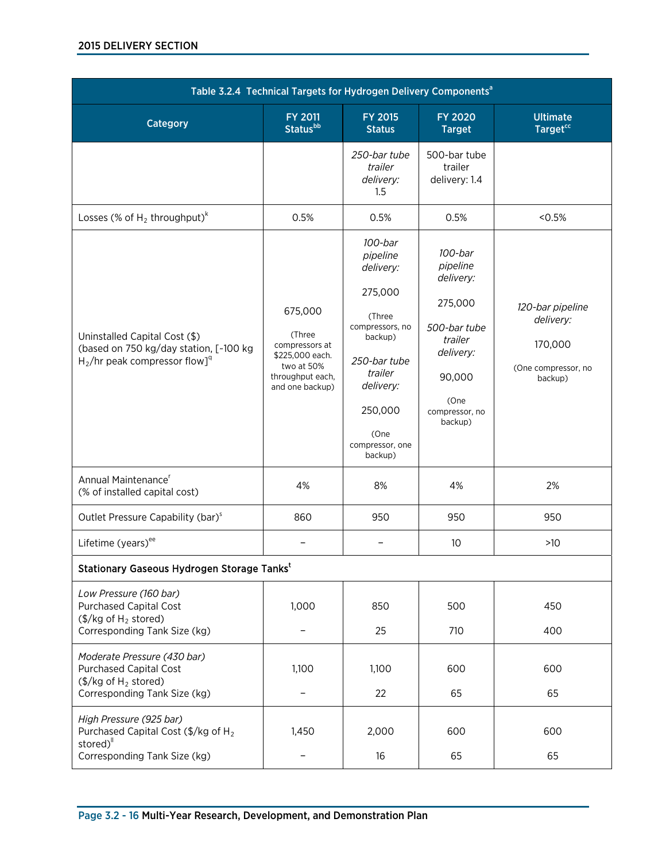| Table 3.2.4 Technical Targets for Hydrogen Delivery Components <sup>a</sup>                                                               |                                                                                                             |                                                                                                                                                                              |                                                                                                                                    |                                                                            |
|-------------------------------------------------------------------------------------------------------------------------------------------|-------------------------------------------------------------------------------------------------------------|------------------------------------------------------------------------------------------------------------------------------------------------------------------------------|------------------------------------------------------------------------------------------------------------------------------------|----------------------------------------------------------------------------|
| Category                                                                                                                                  | <b>FY 2011</b><br><b>Status</b> bb                                                                          | <b>FY 2015</b><br><b>Status</b>                                                                                                                                              | <b>FY 2020</b><br><b>Target</b>                                                                                                    | <b>Ultimate</b><br><b>Target<sup>cc</sup></b>                              |
|                                                                                                                                           |                                                                                                             | 250-bar tube<br>trailer<br>delivery:<br>1.5                                                                                                                                  | 500-bar tube<br>trailer<br>delivery: 1.4                                                                                           |                                                                            |
| Losses (% of $H_2$ throughput) <sup>k</sup>                                                                                               | 0.5%                                                                                                        | 0.5%                                                                                                                                                                         | 0.5%                                                                                                                               | < 0.5%                                                                     |
| Uninstalled Capital Cost (\$)<br>(based on 750 kg/day station, [~100 kg<br>$H_2$ /hr peak compressor flow] <sup>q</sup>                   | 675,000<br>(Three<br>compressors at<br>\$225,000 each.<br>two at 50%<br>throughput each,<br>and one backup) | 100-bar<br>pipeline<br>delivery:<br>275,000<br>(Three<br>compressors, no<br>backup)<br>250-bar tube<br>trailer<br>delivery:<br>250,000<br>(One<br>compressor, one<br>backup) | 100-bar<br>pipeline<br>delivery:<br>275,000<br>500-bar tube<br>trailer<br>delivery:<br>90,000<br>(One<br>compressor, no<br>backup) | 120-bar pipeline<br>delivery:<br>170,000<br>(One compressor, no<br>backup) |
| Annual Maintenance <sup>r</sup><br>(% of installed capital cost)                                                                          | 4%                                                                                                          | 8%                                                                                                                                                                           | 4%                                                                                                                                 | 2%                                                                         |
| Outlet Pressure Capability (bar) <sup>s</sup>                                                                                             | 860                                                                                                         | 950                                                                                                                                                                          | 950                                                                                                                                | 950                                                                        |
| Lifetime (years) <sup>ee</sup>                                                                                                            |                                                                                                             |                                                                                                                                                                              | 10                                                                                                                                 | $>10$                                                                      |
| Stationary Gaseous Hydrogen Storage Tankst                                                                                                |                                                                                                             |                                                                                                                                                                              |                                                                                                                                    |                                                                            |
| Low Pressure (160 bar)<br><b>Purchased Capital Cost</b><br>$(\frac{5}{kg}$ of H <sub>2</sub> stored)<br>Corresponding Tank Size (kg)      | 1,000                                                                                                       | 850<br>25                                                                                                                                                                    | 500<br>710                                                                                                                         | 450<br>400                                                                 |
| Moderate Pressure (430 bar)<br><b>Purchased Capital Cost</b><br>$(\frac{5}{kg}$ of H <sub>2</sub> stored)<br>Corresponding Tank Size (kg) | 1,100                                                                                                       | 1,100<br>22                                                                                                                                                                  | 600<br>65                                                                                                                          | 600<br>65                                                                  |
| High Pressure (925 bar)<br>Purchased Capital Cost (\$/kg of H <sub>2</sub><br>stored) <sup>II</sup><br>Corresponding Tank Size (kg)       | 1,450                                                                                                       | 2,000<br>16                                                                                                                                                                  | 600<br>65                                                                                                                          | 600<br>65                                                                  |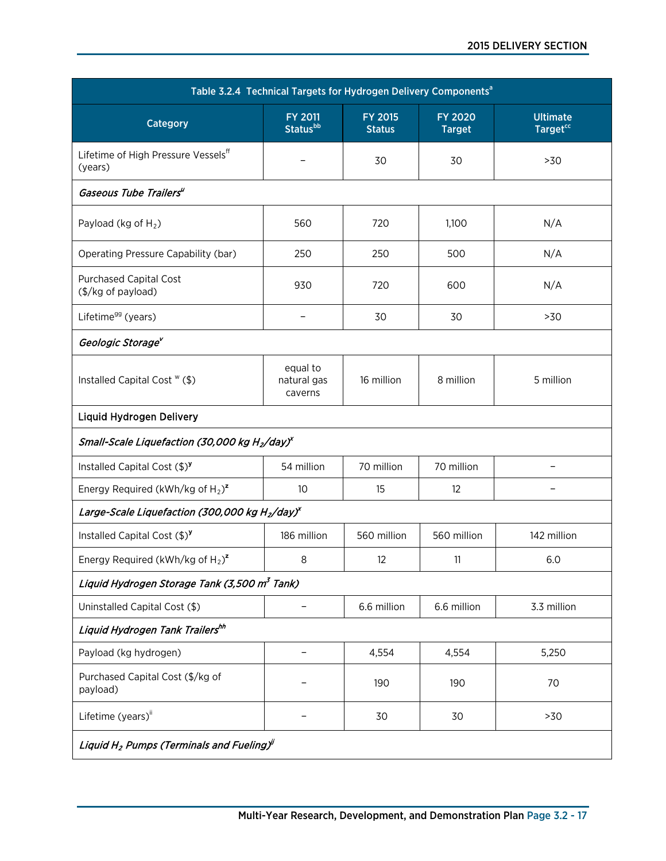| Table 3.2.4 Technical Targets for Hydrogen Delivery Components <sup>a</sup>      |                                               |                                 |                                 |                                               |
|----------------------------------------------------------------------------------|-----------------------------------------------|---------------------------------|---------------------------------|-----------------------------------------------|
| Category                                                                         | <b>FY 2011</b><br><b>Status</b> <sup>bb</sup> | <b>FY 2015</b><br><b>Status</b> | <b>FY 2020</b><br><b>Target</b> | <b>Ultimate</b><br><b>Target<sup>cc</sup></b> |
| Lifetime of High Pressure Vessels <sup>ff</sup><br>(years)                       |                                               | 30                              | 30                              | >30                                           |
| Gaseous Tube Trailers"                                                           |                                               |                                 |                                 |                                               |
| Payload (kg of $H_2$ )                                                           | 560                                           | 720                             | 1,100                           | N/A                                           |
| Operating Pressure Capability (bar)                                              | 250                                           | 250                             | 500                             | N/A                                           |
| <b>Purchased Capital Cost</b><br>(\$/kg of payload)                              | 930                                           | 720                             | 600                             | N/A                                           |
| Lifetime <sup>gg</sup> (years)                                                   | $\equiv$                                      | 30                              | 30                              | >30                                           |
| Geologic Storage <sup>v</sup>                                                    |                                               |                                 |                                 |                                               |
| Installed Capital Cost " (\$)                                                    | equal to<br>natural gas<br>caverns            | 16 million                      | 8 million                       | 5 million                                     |
| Liquid Hydrogen Delivery                                                         |                                               |                                 |                                 |                                               |
| Small-Scale Liquefaction (30,000 kg H <sub>2</sub> /day) <sup>x</sup>            |                                               |                                 |                                 |                                               |
| Installed Capital Cost (\$) <sup>y</sup>                                         | 54 million                                    | 70 million                      | 70 million                      |                                               |
| Energy Required (kWh/kg of $H_2$ ) <sup>z</sup>                                  | 10                                            | 15                              | 12                              |                                               |
| Large-Scale Liquefaction (300,000 kg H <sub>2</sub> /day) <sup>x</sup>           |                                               |                                 |                                 |                                               |
| Installed Capital Cost $(\text{$\$})^{\text{y}}$                                 | 186 million                                   | 560 million                     | 560 million                     | 142 million                                   |
| Energy Required (kWh/kg of $H_2$ ) <sup>z</sup>                                  | 8                                             | 12                              | 11                              | 6.0                                           |
| Liquid Hydrogen Storage Tank (3,500 m <sup>3</sup> Tank)                         |                                               |                                 |                                 |                                               |
| Uninstalled Capital Cost (\$)                                                    |                                               | 6.6 million                     | 6.6 million                     | 3.3 million                                   |
| Liquid Hydrogen Tank Trailershh                                                  |                                               |                                 |                                 |                                               |
| Payload (kg hydrogen)                                                            |                                               | 4,554                           | 4,554                           | 5,250                                         |
| Purchased Capital Cost (\$/kg of<br>payload)                                     |                                               | 190                             | 190                             | 70                                            |
| Lifetime (years) <sup>ii</sup>                                                   |                                               | 30                              | 30                              | >30                                           |
| Liquid H <sub>2</sub> Pumps (Terminals and Fueling) <sup><math>\ell</math></sup> |                                               |                                 |                                 |                                               |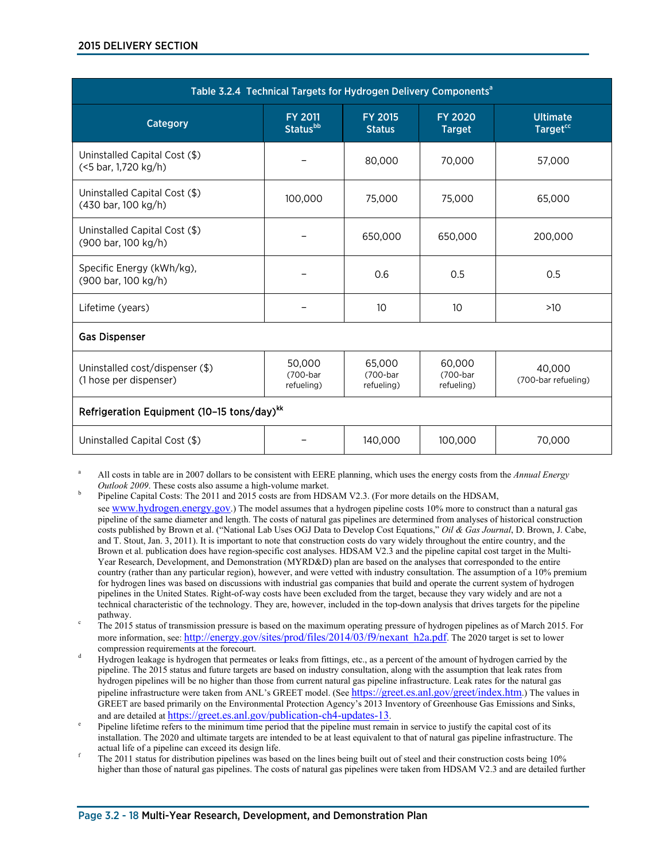| Table 3.2.4 Technical Targets for Hydrogen Delivery Components <sup>a</sup> |                                               |                                  |                                  |                                         |
|-----------------------------------------------------------------------------|-----------------------------------------------|----------------------------------|----------------------------------|-----------------------------------------|
| Category                                                                    | <b>FY 2011</b><br><b>Status</b> <sup>bb</sup> | <b>FY 2015</b><br><b>Status</b>  | <b>FY 2020</b><br><b>Target</b>  | <b>Ultimate</b><br>Target <sup>cc</sup> |
| Uninstalled Capital Cost (\$)<br>(<5 bar, 1,720 kg/h)                       |                                               | 80,000                           | 70,000                           | 57,000                                  |
| Uninstalled Capital Cost (\$)<br>(430 bar, 100 kg/h)                        | 100,000                                       | 75,000                           | 75,000                           | 65,000                                  |
| Uninstalled Capital Cost (\$)<br>(900 bar, 100 kg/h)                        |                                               | 650,000                          | 650,000                          | 200,000                                 |
| Specific Energy (kWh/kg),<br>(900 bar, 100 kg/h)                            |                                               | 0.6                              | 0.5                              | 0.5                                     |
| Lifetime (years)                                                            |                                               | 10                               | 10                               | >10                                     |
| <b>Gas Dispenser</b>                                                        |                                               |                                  |                                  |                                         |
| Uninstalled cost/dispenser (\$)<br>(1 hose per dispenser)                   | 50.000<br>(700-bar<br>refueling)              | 65,000<br>(700-bar<br>refueling) | 60.000<br>(700-bar<br>refueling) | 40.000<br>(700-bar refueling)           |
| Refrigeration Equipment (10-15 tons/day) <sup>kk</sup>                      |                                               |                                  |                                  |                                         |
| 140,000<br>100,000<br>70,000<br>Uninstalled Capital Cost (\$)               |                                               |                                  |                                  |                                         |

<sup>a</sup> All costs in table are in 2007 dollars to be consistent with EERE planning, which uses the energy costs from the *Annual Energy* 

- The 2015 status of transmission pressure is based on the maximum operating pressure of hydrogen pipelines as of March 2015. For more information, see[: http://energy.gov/sites/prod/files/2014/03/f9/nexant\\_h2a.pdf.](http://energy.gov/sites/prod/files/2014/03/f9/nexant_h2a.pdf) The 2020 target is set to lower compression requirements at the forecourt.
- Hydrogen leakage is hydrogen that permeates or leaks from fittings, etc., as a percent of the amount of hydrogen carried by the pipeline. The 2015 status and future targets are based on industry consultation, along with the assumption that leak rates from hydrogen pipelines will be no higher than those from current natural gas pipeline infrastructure. Leak rates for the natural gas pipeline infrastructure were taken from ANL's GREET model. (See [https://greet.es.anl.gov/greet/index.htm.](https://greet.es.anl.gov/greet/index.htm)) The values in GREET are based primarily on the Environmental Protection Agency's 2013 Inventory of Greenhouse Gas Emissions and Sinks, and are detailed at https://greet.es.anl.gov/publication-ch4-updates-13.
- Pipeline lifetime refers to the minimum time period that the pipeline must remain in service to justify the capital cost of its installation. The 2020 and ultimate targets are intended to be at least equivalent to that of natural gas pipeline infrastructure. The
- <sup>f</sup> The 2011 status for distribution pipelines was based on the lines being built out of steel and their construction costs being 10% higher than those of natural gas pipelines. The costs of natural gas pipelines were taken from HDSAM V2.3 and are detailed further

Pipeline Capital Costs: The 2011 and 2015 costs are from HDSAM V2.3. (For more details on the HDSAM,

see [www.hydrogen.energy.gov.](http://www.hydrogen.energy.gov/)) The model assumes that a hydrogen pipeline costs 10% more to construct than a natural gas pipeline of the same diameter and length. The costs of natural gas pipelines are determined from analyses of historical construction costs published by Brown et al. ("National Lab Uses OGJ Data to Develop Cost Equations," *Oil & Gas Journal*, D. Brown, J. Cabe, and T. Stout, Jan. 3, 2011). It is important to note that construction costs do vary widely throughout the entire country, and the Brown et al. publication does have region-specific cost analyses. HDSAM V2.3 and the pipeline capital cost target in the Multi-Year Research, Development, and Demonstration (MYRD&D) plan are based on the analyses that corresponded to the entire country (rather than any particular region), however, and were vetted with industry consultation. The assumption of a 10% premium for hydrogen lines was based on discussions with industrial gas companies that build and operate the current system of hydrogen pipelines in the United States. Right-of-way costs have been excluded from the target, because they vary widely and are not a technical characteristic of the technology. They are, however, included in the top-down analysis that drives targets for the pipeline pathway.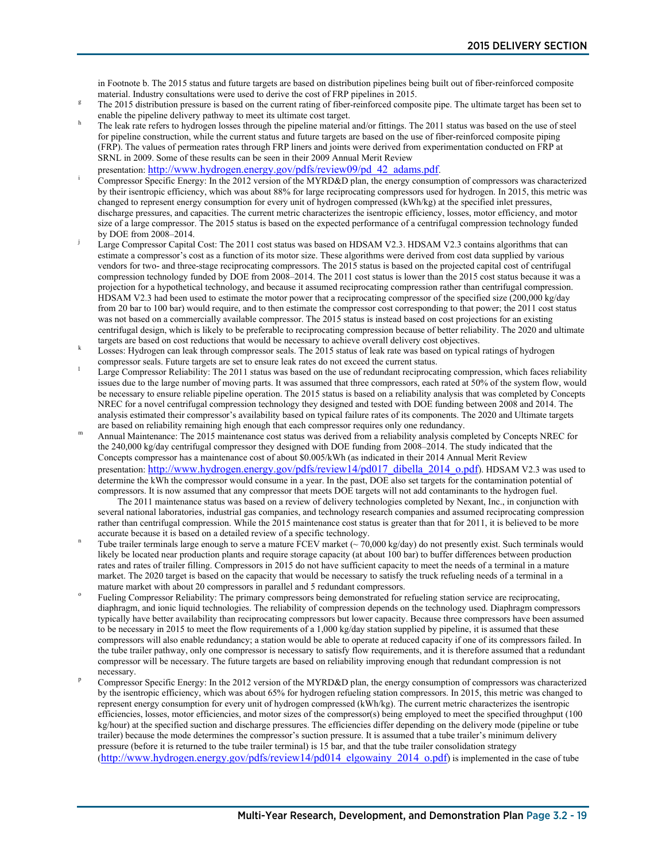in Footnote b. The 2015 status and future targets are based on distribution pipelines being built out of fiber-reinforced composite material. Industry consultations were used to derive the cost of FRP pipelines in 2015.<br>The 2015 distribution pressure is based on the current rating of fiber-reinforced composite pipe. The ultimate target has been set to

- 
- enable the pipeline delivery pathway to meet its ultimate cost target.<br>The leak rate refers to hydrogen losses through the pipeline material and/or fittings. The 2011 status was based on the use of steel for pipeline construction, while the current status and future targets are based on the use of fiber-reinforced composite piping (FRP). The values of permeation rates through FRP liners and joints were derived from experimentation conducted on FRP at SRNL in 2009. Some of these results can be seen in their 2009 Annual Merit Review
- presentation: http://www.hydrogen.energy.gov/pdfs/review09/pd 42\_adams.pdf. Compressor Specific Energy: In the 2012 version of the MYRD&D plan, the energy consumption of compressors was characterized by their isentropic efficiency, which was about 88% for large reciprocating compressors used for hydrogen. In 2015, this metric was changed to represent energy consumption for every unit of hydrogen compressed (kWh/kg) at the specified inlet pressures, discharge pressures, and capacities. The current metric characterizes the isentropic efficiency, losses, motor efficiency, and motor size of a large compressor. The 2015 status is based on the expected performance of a centrifugal compression technology funded by DOE from 2008–2014.
- Large Compressor Capital Cost: The 2011 cost status was based on HDSAM V2.3. HDSAM V2.3 contains algorithms that can estimate a compressor's cost as a function of its motor size. These algorithms were derived from cost data supplied by various vendors for two- and three-stage reciprocating compressors. The 2015 status is based on the projected capital cost of centrifugal compression technology funded by DOE from 2008–2014. The 2011 cost status is lower than the 2015 cost status because it was a projection for a hypothetical technology, and because it assumed reciprocating compression rather than centrifugal compression. HDSAM V2.3 had been used to estimate the motor power that a reciprocating compressor of the specified size (200,000 kg/day from 20 bar to 100 bar) would require, and to then estimate the compressor cost corresponding to that power; the 2011 cost status was not based on a commercially available compressor. The 2015 status is instead based on cost projections for an existing centrifugal design, which is likely to be preferable to reciprocating compression because of better reliability. The 2020 and ultimate
- Losses: Hydrogen can leak through compressor seals. The 2015 status of leak rate was based on typical ratings of hydrogen
- compressor seals. Future targets are set to ensure leak rates do not exceed the current status.<br>Large Compressor Reliability: The 2011 status was based on the use of redundant reciprocating compression, which faces reliabi issues due to the large number of moving parts. It was assumed that three compressors, each rated at 50% of the system flow, would be necessary to ensure reliable pipeline operation. The 2015 status is based on a reliability analysis that was completed by Concepts NREC for a novel centrifugal compression technology they designed and tested with DOE funding between 2008 and 2014. The analysis estimated their compressor's availability based on typical failure rates of its components. The 2020 and Ultimate targets are based on reliability remaining high enough that each compressor requires only one redun
- Annual Maintenance: The 2015 maintenance cost status was derived from a reliability analysis completed by Concepts NREC for the 240,000 kg/day centrifugal compressor they designed with DOE funding from 2008–2014. The study indicated that the Concepts compressor has a maintenance cost of about \$0.005/kWh (as indicated in their 2014 Annual Merit Review presentation: [http://www.hydrogen.energy.gov/pdfs/review14/pd017\\_dibella\\_2014\\_o.pdf\)](http://www.hydrogen.energy.gov/pdfs/review14/pd017_dibella_2014_o.pdf). HDSAM V2.3 was used to determine the kWh the compressor would consume in a year. In the past, DOE also set targets for the contamination potential of compressors. It is now assumed that any compressor that meets DOE targets will not add contaminants to the hydrogen fuel.

The 2011 maintenance status was based on a review of delivery technologies completed by Nexant, Inc., in conjunction with several national laboratories, industrial gas companies, and technology research companies and assumed reciprocating compression rather than centrifugal compression. While the 2015 maintenance cost status is greater than that for 2011, it is believed to be more

- accurate because it is based on a detailed review of a specific technology.<br>Tube trailer terminals large enough to serve a mature FCEV market ( $\sim$  70,000 kg/day) do not presently exist. Such terminals would likely be located near production plants and require storage capacity (at about 100 bar) to buffer differences between production rates and rates of trailer filling. Compressors in 2015 do not have sufficient capacity to meet the needs of a terminal in a mature market. The 2020 target is based on the capacity that would be necessary to satisfy the truck refueling needs of a terminal in a mature market with about 20 compressors in parallel and 5 redundant compressors.
- Fueling Compressor Reliability: The primary compressors being demonstrated for refueling station service are reciprocating, diaphragm, and ionic liquid technologies. The reliability of compression depends on the technology used. Diaphragm compressors typically have better availability than reciprocating compressors but lower capacity. Because three compressors have been assumed to be necessary in 2015 to meet the flow requirements of a 1,000 kg/day station supplied by pipeline, it is assumed that these compressors will also enable redundancy; a station would be able to operate at reduced capacity if one of its compressors failed. In the tube trailer pathway, only one compressor is necessary to satisfy flow requirements, and it is therefore assumed that a redundant compressor will be necessary. The future targets are based on reliability improving enough that redundant compression is not necessary.<br>Compressor Specific Energy: In the 2012 version of the MYRD&D plan, the energy consumption of compressors was characterized
- by the isentropic efficiency, which was about 65% for hydrogen refueling station compressors. In 2015, this metric was changed to represent energy consumption for every unit of hydrogen compressed (kWh/kg). The current metric characterizes the isentropic efficiencies, losses, motor efficiencies, and motor sizes of the compressor(s) being employed to meet the specified throughput (100 kg/hour) at the specified suction and discharge pressures. The efficiencies differ depending on the delivery mode (pipeline or tube trailer) because the mode determines the compressor's suction pressure. It is assumed that a tube trailer's minimum delivery pressure (before it is returned to the tube trailer terminal) is 15 bar, and that the tube trailer consolidation strategy [\(http://www.hydrogen.energy.gov/pdfs/review14/pd014\\_elgowainy\\_2014\\_o.pdf\)](http://www.hydrogen.energy.gov/pdfs/review14/pd014_elgowainy_2014_o.pdf) is implemented in the case of tube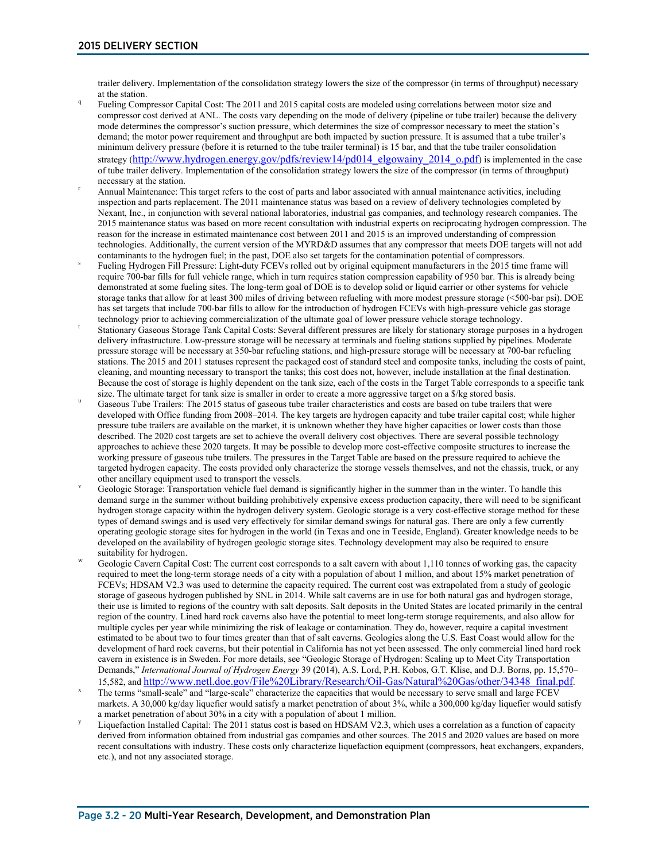trailer delivery. Implementation of the consolidation strategy lowers the size of the compressor (in terms of throughput) necessary at the station.<br>Fueling Compressor Capital Cost: The 2011 and 2015 capital costs are modeled using correlations between motor size and

- compressor cost derived at ANL. The costs vary depending on the mode of delivery (pipeline or tube trailer) because the delivery mode determines the compressor's suction pressure, which determines the size of compressor necessary to meet the station's demand; the motor power requirement and throughput are both impacted by suction pressure. It is assumed that a tube trailer's minimum delivery pressure (before it is returned to the tube trailer terminal) is 15 bar, and that the tube trailer consolidation strategy [\(http://www.hydrogen.energy.gov/pdfs/review14/pd014\\_elgowainy\\_2014\\_o.pdf\)](http://www.hydrogen.energy.gov/pdfs/review14/pd014_elgowainy_2014_o.pdf) is implemented in the case of tube trailer delivery. Implementation of the consolidation strategy lowers the size of the compressor (in terms of throughput)
- necessary at the station.<br>Annual Maintenance: This target refers to the cost of parts and labor associated with annual maintenance activities, including inspection and parts replacement. The 2011 maintenance status was based on a review of delivery technologies completed by Nexant, Inc., in conjunction with several national laboratories, industrial gas companies, and technology research companies. The 2015 maintenance status was based on more recent consultation with industrial experts on reciprocating hydrogen compression. The reason for the increase in estimated maintenance cost between 2011 and 2015 is an improved understanding of compression technologies. Additionally, the current version of the MYRD&D assumes that any compressor that meets DOE targets will not add
- contaminants to the hydrogen fuel; in the past, DOE also set targets for the contamination potential of compressors.<br>Fueling Hydrogen Fill Pressure: Light-duty FCEVs rolled out by original equipment manufacturers in the 20 require 700-bar fills for full vehicle range, which in turn requires station compression capability of 950 bar. This is already being demonstrated at some fueling sites. The long-term goal of DOE is to develop solid or liquid carrier or other systems for vehicle storage tanks that allow for at least 300 miles of driving between refueling with more modest pressure storage (<500-bar psi). DOE has set targets that include 700-bar fills to allow for the introduction of hydrogen FCEVs with high-pressure vehicle gas storage
- technology prior to achieving commercialization of the ultimate goal of lower pressure vehicle storage technology.<br>Stationary Gaseous Storage Tank Capital Costs: Several different pressures are likely for stationary storag delivery infrastructure. Low-pressure storage will be necessary at terminals and fueling stations supplied by pipelines. Moderate pressure storage will be necessary at 350-bar refueling stations, and high-pressure storage will be necessary at 700-bar refueling stations. The 2015 and 2011 statuses represent the packaged cost of standard steel and composite tanks, including the costs of paint, cleaning, and mounting necessary to transport the tanks; this cost does not, however, include installation at the final destination. Because the cost of storage is highly dependent on the tank size, each of the costs in the Target Table corresponds to a specific tank size. The ultimate target for tank size is smaller in order to create a more aggressive
- Gaseous Tube Trailers: The 2015 status of gaseous tube trailer characteristics and costs are based on tube trailers that were developed with Office funding from 2008–2014. The key targets are hydrogen capacity and tube trailer capital cost; while higher pressure tube trailers are available on the market, it is unknown whether they have higher capacities or lower costs than those described. The 2020 cost targets are set to achieve the overall delivery cost objectives. There are several possible technology approaches to achieve these 2020 targets. It may be possible to develop more cost-effective composite structures to increase the working pressure of gaseous tube trailers. The pressures in the Target Table are based on the pressure required to achieve the targeted hydrogen capacity. The costs provided only characterize the storage vessels themselves, and not the chassis, truck, or any
- other ancillary equipment used to transport the vessels.<br>Geologic Storage: Transportation vehicle fuel demand is significantly higher in the summer than in the winter. To handle this demand surge in the summer without building prohibitively expensive excess production capacity, there will need to be significant hydrogen storage capacity within the hydrogen delivery system. Geologic storage is a very cost-effective storage method for these types of demand swings and is used very effectively for similar demand swings for natural gas. There are only a few currently operating geologic storage sites for hydrogen in the world (in Texas and one in Teeside, England). Greater knowledge needs to be developed on the availability of hydrogen geologic storage sites. Technology development may also be required to ensure
- suitability for hydrogen.<br>Geologic Cavern Capital Cost: The current cost corresponds to a salt cavern with about 1,110 tonnes of working gas, the capacity required to meet the long-term storage needs of a city with a population of about 1 million, and about 15% market penetration of FCEVs; HDSAM V2.3 was used to determine the capacity required. The current cost was extrapolated from a study of geologic storage of gaseous hydrogen published by SNL in 2014. While salt caverns are in use for both natural gas and hydrogen storage, their use is limited to regions of the country with salt deposits. Salt deposits in the United States are located primarily in the central region of the country. Lined hard rock caverns also have the potential to meet long-term storage requirements, and also allow for multiple cycles per year while minimizing the risk of leakage or contamination. They do, however, require a capital investment estimated to be about two to four times greater than that of salt caverns. Geologies along the U.S. East Coast would allow for the development of hard rock caverns, but their potential in California has not yet been assessed. The only commercial lined hard rock cavern in existence is in Sweden. For more details, see "Geologic Storage of Hydrogen: Scaling up to Meet City Transportation Demands," *International Journal of Hydrogen Energy* 39 (2014), A.S. Lord, P.H. Kobos, G.T. Klise, and D.J. Borns, pp. 15,570–<br>15,582, and http://www.netl.doe.gov/File%20Library/Research/Oil-Gas/Natural%20Gas/other/34348\_f
- The terms "small-scale" and "large-scale" characterize the capacities that would be necessary to serve small and large FCEV markets. A 30,000 kg/day liquefier would satisfy a market penetration of about 3%, while a 300,000 kg/day liquefier would satisfy
- a market penetration of about 30% in a city with a population of about 1 million.<br>Liquefaction Installed Capital: The 2011 status cost is based on HDSAM V2.3, which uses a correlation as a function of capacity derived from information obtained from industrial gas companies and other sources. The 2015 and 2020 values are based on more recent consultations with industry. These costs only characterize liquefaction equipment (compressors, heat exchangers, expanders, etc.), and not any associated storage.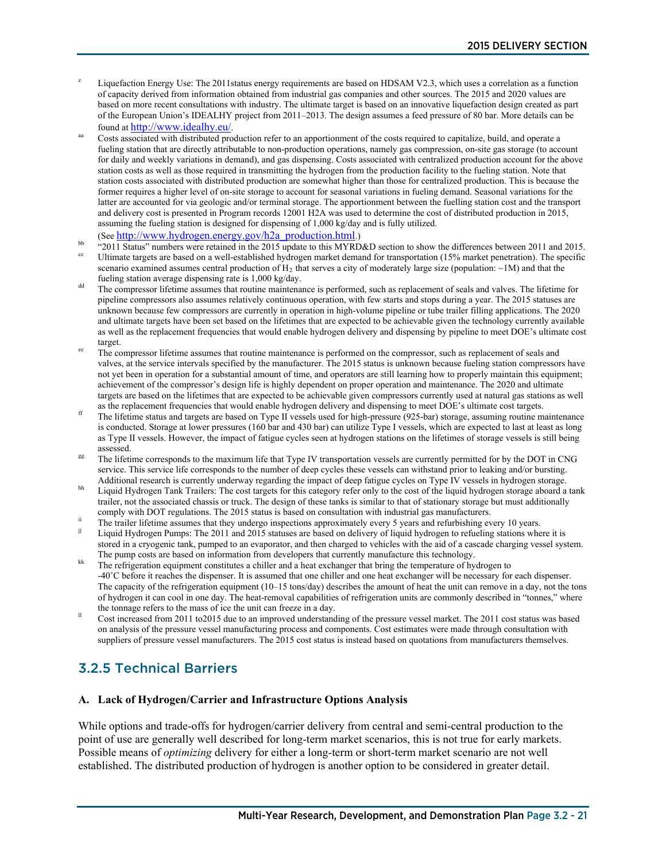- Liquefaction Energy Use: The 2011status energy requirements are based on HDSAM V2.3, which uses a correlation as a function of capacity derived from information obtained from industrial gas companies and other sources. The 2015 and 2020 values are based on more recent consultations with industry. The ultimate target is based on an innovative liquefaction design created as part of the European Union's IDEALHY project from 2011–2013. The design assumes a feed pressure of 80 bar. More details can be
- found a[t http://www.idealhy.eu/.](http://www.idealhy.eu/)<br>Costs associated with distributed production refer to an apportionment of the costs required to capitalize, build, and operate a fueling station that are directly attributable to non-production operations, namely gas compression, on-site gas storage (to account for daily and weekly variations in demand), and gas dispensing. Costs associated with centralized production account for the above station costs as well as those required in transmitting the hydrogen from the production facility to the fueling station. Note that station costs associated with distributed production are somewhat higher than those for centralized production. This is because the former requires a higher level of on-site storage to account for seasonal variations in fueling demand. Seasonal variations for the latter are accounted for via geologic and/or terminal storage. The apportionment between the fuelling station cost and the transport and delivery cost is presented in Program records 12001 H2A was used to determine the cost of distributed production in 2015, assuming the fueling station is designed for dispensing of 1,000 kg/day and is fully utilized.
- 
- (Se[e http://www.hydrogen.energy.gov/h2a\\_production.html.\)](http://www.hydrogen.energy.gov/h2a_production.html)<br><sup>bb</sup> "2011 Status" numbers were retained in the 2015 update to this MYRD&D section to show the differences between 2011 and 2015.<br><sup>cc</sup> Ultimate targets are based o scenario examined assumes central production of  $H_2$  that serves a city of moderately large size (population: ~1M) and that the fueling station average dispensing rate is 1,000 kg/day.
- <sup>dd</sup> The compressor lifetime assumes that routine maintenance is performed, such as replacement of seals and valves. The lifetime for pipeline compressors also assumes relatively continuous operation, with few starts and stops during a year. The 2015 statuses are unknown because few compressors are currently in operation in high-volume pipeline or tube trailer filling applications. The 2020 and ultimate targets have been set based on the lifetimes that are expected to be achievable given the technology currently available as well as the replacement frequencies that would enable hydrogen delivery and dispensing by pipeline to meet DOE's ultimate cost target.<br>The compressor lifetime assumes that routine maintenance is performed on the compressor, such as replacement of seals and
- valves, at the service intervals specified by the manufacturer. The 2015 status is unknown because fueling station compressors have not yet been in operation for a substantial amount of time, and operators are still learning how to properly maintain this equipment; achievement of the compressor's design life is highly dependent on proper operation and maintenance. The 2020 and ultimate targets are based on the lifetimes that are expected to be achievable given compressors currently used at natural gas stations as well
- as the replacement frequencies that would enable hydrogen delivery and dispensing to meet DOE's ultimate cost targets.<br>The lifetime status and targets are based on Type II vessels used for high-pressure (925-bar) storage, is conducted. Storage at lower pressures (160 bar and 430 bar) can utilize Type I vessels, which are expected to last at least as long as Type II vessels. However, the impact of fatigue cycles seen at hydrogen stations on the lifetimes of storage vessels is still being
- <sup>gg</sup> The lifetime corresponds to the maximum life that Type IV transportation vessels are currently permitted for by the DOT in CNG service. This service life corresponds to the number of deep cycles these vessels can withstand prior to leaking and/or bursting.<br>Additional research is currently underway regarding the impact of deep fatigue cycles on Typ
- Liquid Hydrogen Tank Trailers: The cost targets for this category refer only to the cost of the liquid hydrogen storage aboard a tank trailer, not the associated chassis or truck. The design of these tanks is similar to that of stationary storage but must additionally
- comply with DOT regulations. The 2015 status is based on consultation with industrial gas manufacturers.<br>The trailer lifetime assumes that they undergo inspections approximately every 5 years and refurbishing every 10 year
- Liquid Hydrogen Pumps: The 2011 and 2015 statuses are based on delivery of liquid hydrogen to refueling stations where it is stored in a cryogenic tank, pumped to an evaporator, and then charged to vehicles with the aid of a cascade charging vessel system.<br>The pump costs are based on information from developers that currently manufacture this te
- $\frac{1}{k}$  The refrigeration equipment constitutes a chiller and a heat exchanger that bring the temperature of hydrogen to -40˚C before it reaches the dispenser. It is assumed that one chiller and one heat exchanger will be necessary for each dispenser. The capacity of the refrigeration equipment (10–15 tons/day) describes the amount of heat the unit can remove in a day, not the tons of hydrogen it can cool in one day. The heat-removal capabilities of refrigeration units are commonly described in "tonnes," where the tonnage refers to the mass of ice the unit can freeze in a day.
- Cost increased from 2011 to2015 due to an improved understanding of the pressure vessel market. The 2011 cost status was based on analysis of the pressure vessel manufacturing process and components. Cost estimates were made through consultation with suppliers of pressure vessel manufacturers. The 2015 cost status is instead based on quotations from manufacturers themselves.

### 3.2.5 Technical Barriers

#### **A. Lack of Hydrogen/Carrier and Infrastructure Options Analysis**

While options and trade-offs for hydrogen/carrier delivery from central and semi-central production to the point of use are generally well described for long-term market scenarios, this is not true for early markets. Possible means of *optimizing* delivery for either a long-term or short-term market scenario are not well established. The distributed production of hydrogen is another option to be considered in greater detail.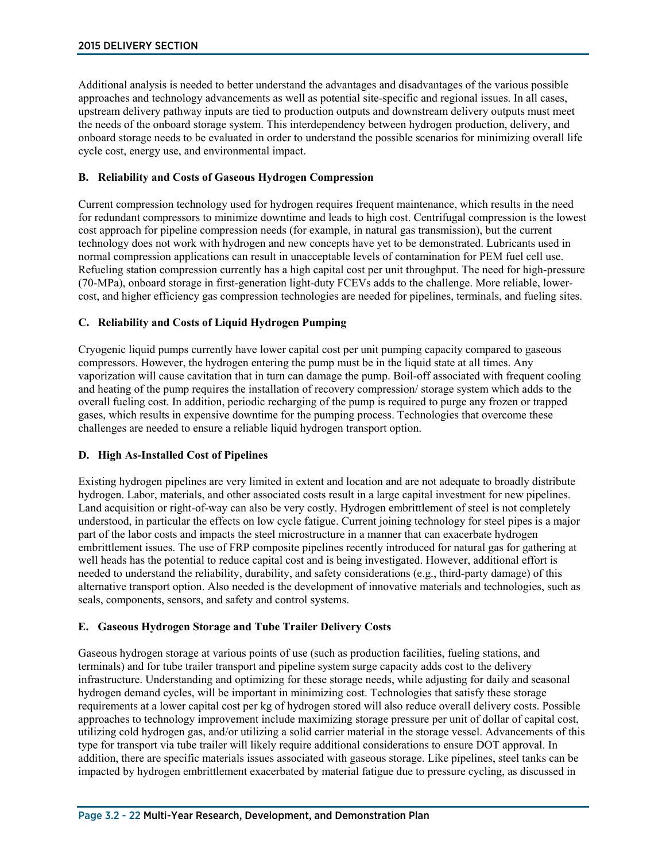Additional analysis is needed to better understand the advantages and disadvantages of the various possible approaches and technology advancements as well as potential site-specific and regional issues. In all cases, upstream delivery pathway inputs are tied to production outputs and downstream delivery outputs must meet the needs of the onboard storage system. This interdependency between hydrogen production, delivery, and onboard storage needs to be evaluated in order to understand the possible scenarios for minimizing overall life cycle cost, energy use, and environmental impact.

#### **B. Reliability and Costs of Gaseous Hydrogen Compression**

Current compression technology used for hydrogen requires frequent maintenance, which results in the need for redundant compressors to minimize downtime and leads to high cost. Centrifugal compression is the lowest cost approach for pipeline compression needs (for example, in natural gas transmission), but the current technology does not work with hydrogen and new concepts have yet to be demonstrated. Lubricants used in normal compression applications can result in unacceptable levels of contamination for PEM fuel cell use. Refueling station compression currently has a high capital cost per unit throughput. The need for high-pressure (70-MPa), onboard storage in first-generation light-duty FCEVs adds to the challenge. More reliable, lowercost, and higher efficiency gas compression technologies are needed for pipelines, terminals, and fueling sites.

#### **C. Reliability and Costs of Liquid Hydrogen Pumping**

Cryogenic liquid pumps currently have lower capital cost per unit pumping capacity compared to gaseous compressors. However, the hydrogen entering the pump must be in the liquid state at all times. Any vaporization will cause cavitation that in turn can damage the pump. Boil-off associated with frequent cooling and heating of the pump requires the installation of recovery compression/ storage system which adds to the overall fueling cost. In addition, periodic recharging of the pump is required to purge any frozen or trapped gases, which results in expensive downtime for the pumping process. Technologies that overcome these challenges are needed to ensure a reliable liquid hydrogen transport option.

#### **D. High As-Installed Cost of Pipelines**

Existing hydrogen pipelines are very limited in extent and location and are not adequate to broadly distribute hydrogen. Labor, materials, and other associated costs result in a large capital investment for new pipelines. Land acquisition or right-of-way can also be very costly. Hydrogen embrittlement of steel is not completely understood, in particular the effects on low cycle fatigue. Current joining technology for steel pipes is a major part of the labor costs and impacts the steel microstructure in a manner that can exacerbate hydrogen embrittlement issues. The use of FRP composite pipelines recently introduced for natural gas for gathering at well heads has the potential to reduce capital cost and is being investigated. However, additional effort is needed to understand the reliability, durability, and safety considerations (e.g., third-party damage) of this alternative transport option. Also needed is the development of innovative materials and technologies, such as seals, components, sensors, and safety and control systems.

#### **E. Gaseous Hydrogen Storage and Tube Trailer Delivery Costs**

Gaseous hydrogen storage at various points of use (such as production facilities, fueling stations, and terminals) and for tube trailer transport and pipeline system surge capacity adds cost to the delivery infrastructure. Understanding and optimizing for these storage needs, while adjusting for daily and seasonal hydrogen demand cycles, will be important in minimizing cost. Technologies that satisfy these storage requirements at a lower capital cost per kg of hydrogen stored will also reduce overall delivery costs. Possible approaches to technology improvement include maximizing storage pressure per unit of dollar of capital cost, utilizing cold hydrogen gas, and/or utilizing a solid carrier material in the storage vessel. Advancements of this type for transport via tube trailer will likely require additional considerations to ensure DOT approval. In addition, there are specific materials issues associated with gaseous storage. Like pipelines, steel tanks can be impacted by hydrogen embrittlement exacerbated by material fatigue due to pressure cycling, as discussed in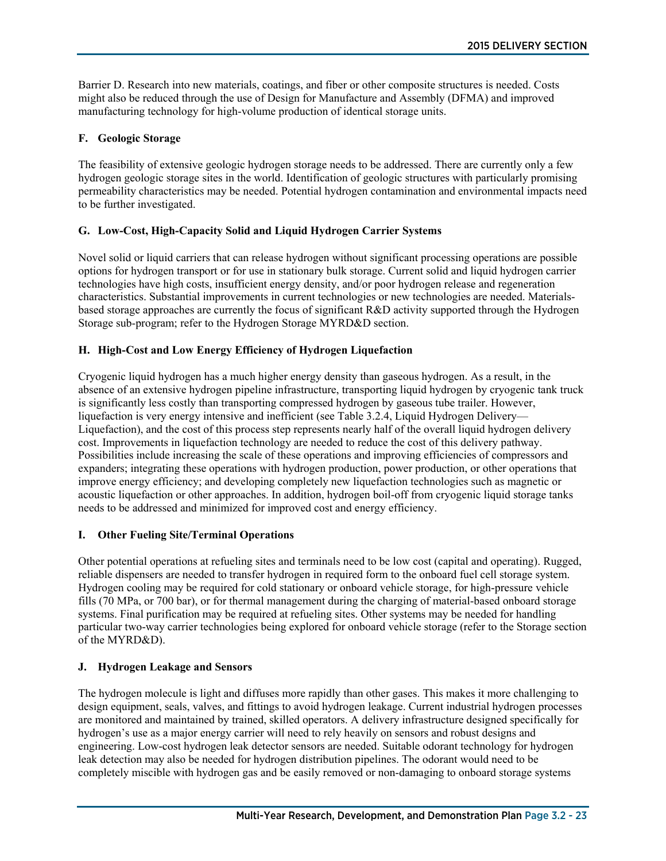Barrier D. Research into new materials, coatings, and fiber or other composite structures is needed. Costs might also be reduced through the use of Design for Manufacture and Assembly (DFMA) and improved manufacturing technology for high-volume production of identical storage units.

#### **F. Geologic Storage**

The feasibility of extensive geologic hydrogen storage needs to be addressed. There are currently only a few hydrogen geologic storage sites in the world. Identification of geologic structures with particularly promising permeability characteristics may be needed. Potential hydrogen contamination and environmental impacts need to be further investigated.

#### **G. Low-Cost, High-Capacity Solid and Liquid Hydrogen Carrier Systems**

Novel solid or liquid carriers that can release hydrogen without significant processing operations are possible options for hydrogen transport or for use in stationary bulk storage. Current solid and liquid hydrogen carrier technologies have high costs, insufficient energy density, and/or poor hydrogen release and regeneration characteristics. Substantial improvements in current technologies or new technologies are needed. Materialsbased storage approaches are currently the focus of significant R&D activity supported through the Hydrogen Storage sub-program; refer to the Hydrogen Storage MYRD&D section.

#### **H. High-Cost and Low Energy Efficiency of Hydrogen Liquefaction**

Cryogenic liquid hydrogen has a much higher energy density than gaseous hydrogen. As a result, in the absence of an extensive hydrogen pipeline infrastructure, transporting liquid hydrogen by cryogenic tank truck is significantly less costly than transporting compressed hydrogen by gaseous tube trailer. However, liquefaction is very energy intensive and inefficient (see Table 3.2.4, Liquid Hydrogen Delivery— Liquefaction), and the cost of this process step represents nearly half of the overall liquid hydrogen delivery cost. Improvements in liquefaction technology are needed to reduce the cost of this delivery pathway. Possibilities include increasing the scale of these operations and improving efficiencies of compressors and expanders; integrating these operations with hydrogen production, power production, or other operations that improve energy efficiency; and developing completely new liquefaction technologies such as magnetic or acoustic liquefaction or other approaches. In addition, hydrogen boil-off from cryogenic liquid storage tanks needs to be addressed and minimized for improved cost and energy efficiency.

#### **I. Other Fueling Site/Terminal Operations**

Other potential operations at refueling sites and terminals need to be low cost (capital and operating). Rugged, reliable dispensers are needed to transfer hydrogen in required form to the onboard fuel cell storage system. Hydrogen cooling may be required for cold stationary or onboard vehicle storage, for high-pressure vehicle fills (70 MPa, or 700 bar), or for thermal management during the charging of material-based onboard storage systems. Final purification may be required at refueling sites. Other systems may be needed for handling particular two-way carrier technologies being explored for onboard vehicle storage (refer to the Storage section of the MYRD&D).

#### **J. Hydrogen Leakage and Sensors**

The hydrogen molecule is light and diffuses more rapidly than other gases. This makes it more challenging to design equipment, seals, valves, and fittings to avoid hydrogen leakage. Current industrial hydrogen processes are monitored and maintained by trained, skilled operators. A delivery infrastructure designed specifically for hydrogen's use as a major energy carrier will need to rely heavily on sensors and robust designs and engineering. Low-cost hydrogen leak detector sensors are needed. Suitable odorant technology for hydrogen leak detection may also be needed for hydrogen distribution pipelines. The odorant would need to be completely miscible with hydrogen gas and be easily removed or non-damaging to onboard storage systems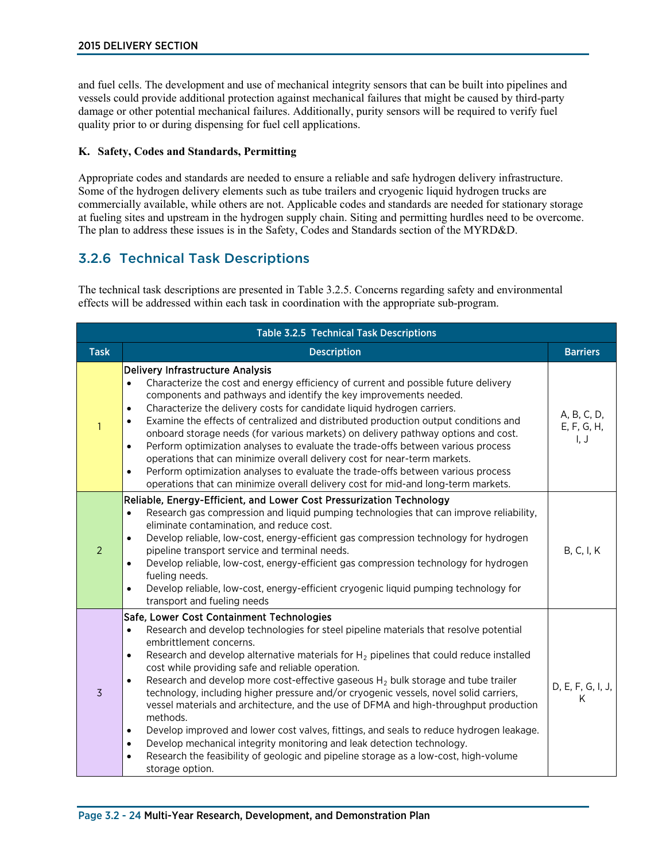and fuel cells. The development and use of mechanical integrity sensors that can be built into pipelines and vessels could provide additional protection against mechanical failures that might be caused by third-party damage or other potential mechanical failures. Additionally, purity sensors will be required to verify fuel quality prior to or during dispensing for fuel cell applications.

#### **K. Safety, Codes and Standards, Permitting**

Appropriate codes and standards are needed to ensure a reliable and safe hydrogen delivery infrastructure. Some of the hydrogen delivery elements such as tube trailers and cryogenic liquid hydrogen trucks are commercially available, while others are not. Applicable codes and standards are needed for stationary storage at fueling sites and upstream in the hydrogen supply chain. Siting and permitting hurdles need to be overcome. The plan to address these issues is in the Safety, Codes and Standards section of the MYRD&D.

### 3.2.6 Technical Task Descriptions

The technical task descriptions are presented in Table 3.2.5. Concerns regarding safety and environmental effects will be addressed within each task in coordination with the appropriate sub-program.

| <b>Table 3.2.5 Technical Task Descriptions</b> |                                                                                                                                                                                                                                                                                                                                                                                                                                                                                                                                                                                                                                                                                                                                                                                                                                                                                                                                                                      |                                    |  |  |  |
|------------------------------------------------|----------------------------------------------------------------------------------------------------------------------------------------------------------------------------------------------------------------------------------------------------------------------------------------------------------------------------------------------------------------------------------------------------------------------------------------------------------------------------------------------------------------------------------------------------------------------------------------------------------------------------------------------------------------------------------------------------------------------------------------------------------------------------------------------------------------------------------------------------------------------------------------------------------------------------------------------------------------------|------------------------------------|--|--|--|
| <b>Task</b>                                    | <b>Description</b>                                                                                                                                                                                                                                                                                                                                                                                                                                                                                                                                                                                                                                                                                                                                                                                                                                                                                                                                                   | <b>Barriers</b>                    |  |  |  |
| $\mathbf{1}$                                   | Delivery Infrastructure Analysis<br>Characterize the cost and energy efficiency of current and possible future delivery<br>$\bullet$<br>components and pathways and identify the key improvements needed.<br>Characterize the delivery costs for candidate liquid hydrogen carriers.<br>$\bullet$<br>Examine the effects of centralized and distributed production output conditions and<br>$\bullet$<br>onboard storage needs (for various markets) on delivery pathway options and cost.<br>Perform optimization analyses to evaluate the trade-offs between various process<br>$\bullet$<br>operations that can minimize overall delivery cost for near-term markets.<br>Perform optimization analyses to evaluate the trade-offs between various process<br>$\bullet$<br>operations that can minimize overall delivery cost for mid-and long-term markets.                                                                                                       | A, B, C, D,<br>E, F, G, H,<br>I, J |  |  |  |
| $\overline{2}$                                 | Reliable, Energy-Efficient, and Lower Cost Pressurization Technology<br>Research gas compression and liquid pumping technologies that can improve reliability,<br>$\bullet$<br>eliminate contamination, and reduce cost.<br>Develop reliable, low-cost, energy-efficient gas compression technology for hydrogen<br>$\bullet$<br>pipeline transport service and terminal needs.<br>Develop reliable, low-cost, energy-efficient gas compression technology for hydrogen<br>$\bullet$<br>fueling needs.<br>Develop reliable, low-cost, energy-efficient cryogenic liquid pumping technology for<br>$\bullet$<br>transport and fueling needs                                                                                                                                                                                                                                                                                                                           | <b>B, C, I, K</b>                  |  |  |  |
| $\overline{3}$                                 | Safe, Lower Cost Containment Technologies<br>Research and develop technologies for steel pipeline materials that resolve potential<br>$\bullet$<br>embrittlement concerns.<br>Research and develop alternative materials for $H_2$ pipelines that could reduce installed<br>$\bullet$<br>cost while providing safe and reliable operation.<br>Research and develop more cost-effective gaseous $H_2$ bulk storage and tube trailer<br>$\bullet$<br>technology, including higher pressure and/or cryogenic vessels, novel solid carriers,<br>vessel materials and architecture, and the use of DFMA and high-throughput production<br>methods.<br>Develop improved and lower cost valves, fittings, and seals to reduce hydrogen leakage.<br>$\bullet$<br>Develop mechanical integrity monitoring and leak detection technology.<br>$\bullet$<br>Research the feasibility of geologic and pipeline storage as a low-cost, high-volume<br>$\bullet$<br>storage option. | D, E, F, G, I, J,<br>K             |  |  |  |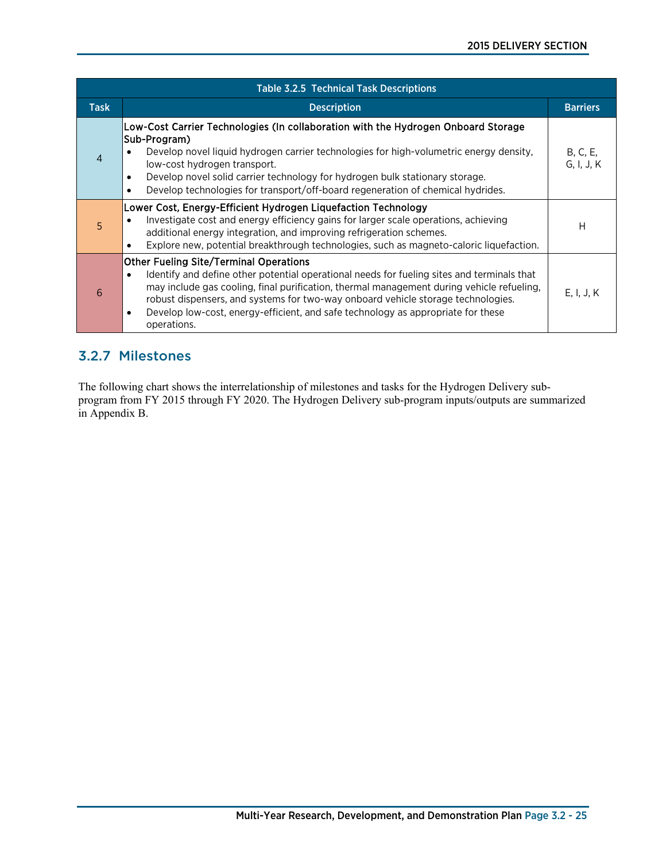| <b>Table 3.2.5 Technical Task Descriptions</b> |                                                                                                                                                                                                                                                                                                                                                                                                                                                   |                        |  |  |  |
|------------------------------------------------|---------------------------------------------------------------------------------------------------------------------------------------------------------------------------------------------------------------------------------------------------------------------------------------------------------------------------------------------------------------------------------------------------------------------------------------------------|------------------------|--|--|--|
| <b>Task</b>                                    | <b>Description</b>                                                                                                                                                                                                                                                                                                                                                                                                                                | <b>Barriers</b>        |  |  |  |
| $\overline{4}$                                 | Low-Cost Carrier Technologies (In collaboration with the Hydrogen Onboard Storage<br>Sub-Program)<br>Develop novel liquid hydrogen carrier technologies for high-volumetric energy density.<br>low-cost hydrogen transport.<br>Develop novel solid carrier technology for hydrogen bulk stationary storage.<br>$\bullet$<br>Develop technologies for transport/off-board regeneration of chemical hydrides.<br>$\bullet$                          | B, C, E,<br>G, I, J, K |  |  |  |
| $\overline{5}$                                 | Lower Cost, Energy-Efficient Hydrogen Liquefaction Technology<br>Investigate cost and energy efficiency gains for larger scale operations, achieving<br>additional energy integration, and improving refrigeration schemes.<br>Explore new, potential breakthrough technologies, such as magneto-caloric liquefaction.                                                                                                                            | Н                      |  |  |  |
| 6                                              | <b>Other Fueling Site/Terminal Operations</b><br>Identify and define other potential operational needs for fueling sites and terminals that<br>$\bullet$<br>may include gas cooling, final purification, thermal management during vehicle refueling,<br>robust dispensers, and systems for two-way onboard vehicle storage technologies.<br>Develop low-cost, energy-efficient, and safe technology as appropriate for these<br>٠<br>operations. | E, I, J, K             |  |  |  |

### 3.2.7 Milestones

The following chart shows the interrelationship of milestones and tasks for the Hydrogen Delivery subprogram from FY 2015 through FY 2020. The Hydrogen Delivery sub-program inputs/outputs are summarized in Appendix B.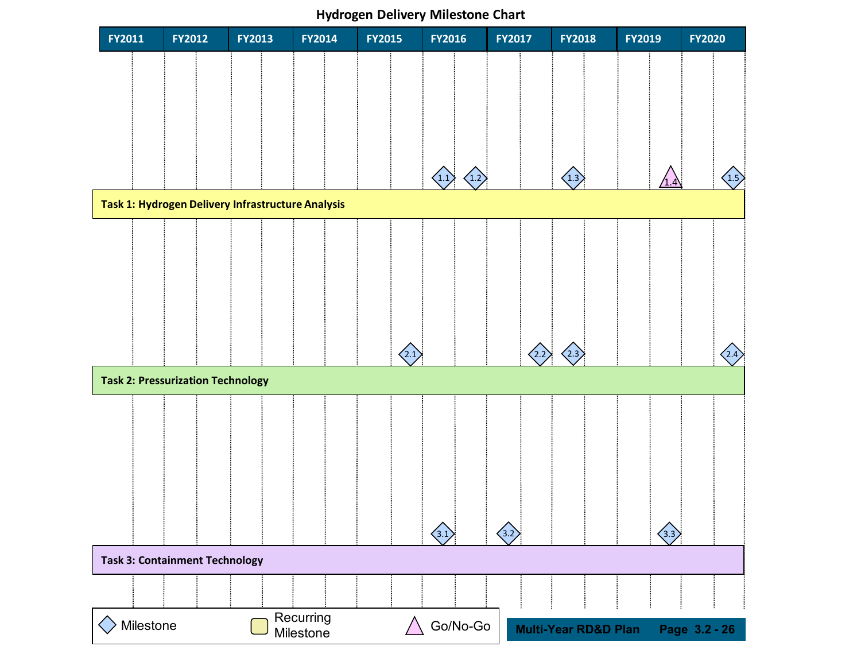**Hydrogen Delivery Milestone Chart**

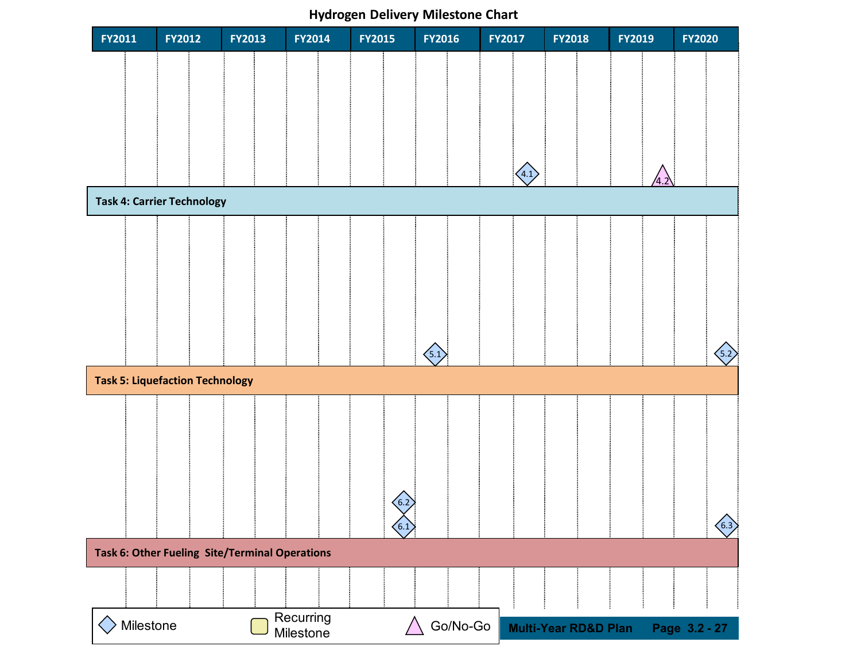### **Hydrogen Delivery Milestone Chart**

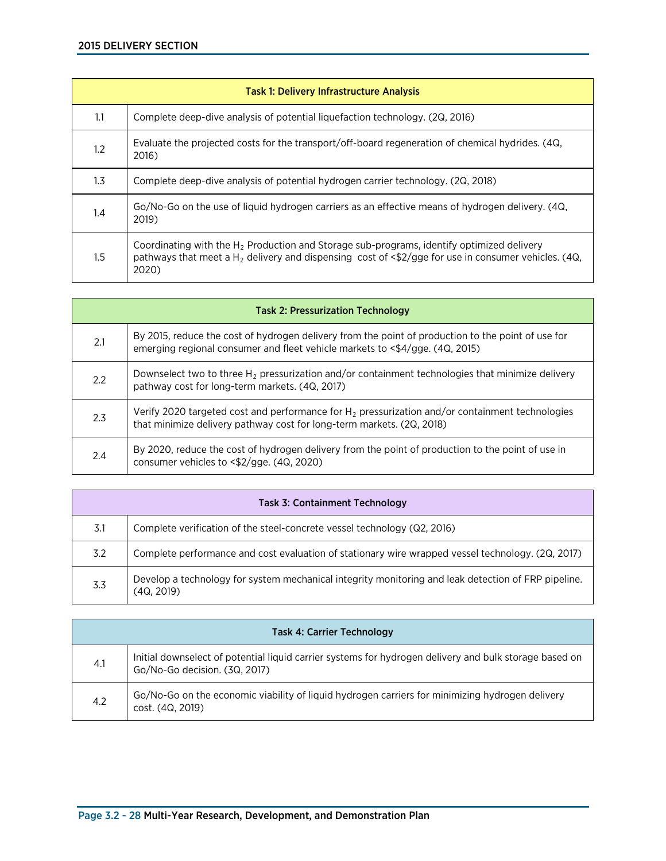| <b>Task 1: Delivery Infrastructure Analysis</b> |                                                                                                                                                                                                                                                   |  |  |  |  |
|-------------------------------------------------|---------------------------------------------------------------------------------------------------------------------------------------------------------------------------------------------------------------------------------------------------|--|--|--|--|
| 1.1                                             | Complete deep-dive analysis of potential liquefaction technology. (2Q, 2016)                                                                                                                                                                      |  |  |  |  |
| $1.2^{\circ}$                                   | Evaluate the projected costs for the transport/off-board regeneration of chemical hydrides. (4Q,<br>2016)                                                                                                                                         |  |  |  |  |
| $1.3\phantom{0}$                                | Complete deep-dive analysis of potential hydrogen carrier technology. (2Q, 2018)                                                                                                                                                                  |  |  |  |  |
| $1.4\,$                                         | Go/No-Go on the use of liquid hydrogen carriers as an effective means of hydrogen delivery. (4Q,<br>2019)                                                                                                                                         |  |  |  |  |
| $1.5\,$                                         | Coordinating with the $H_2$ Production and Storage sub-programs, identify optimized delivery<br>pathways that meet a H <sub>2</sub> delivery and dispensing cost of $\langle \frac{4}{2} \rangle$ gge for use in consumer vehicles. (4Q,<br>2020) |  |  |  |  |

| <b>Task 2: Pressurization Technology</b> |                                                                                                                                                                                    |  |
|------------------------------------------|------------------------------------------------------------------------------------------------------------------------------------------------------------------------------------|--|
| 2.1                                      | By 2015, reduce the cost of hydrogen delivery from the point of production to the point of use for<br>emerging regional consumer and fleet vehicle markets to <\$4/gge. (4Q, 2015) |  |
| 2.2                                      | Downselect two to three $H_2$ pressurization and/or containment technologies that minimize delivery<br>pathway cost for long-term markets. (4Q, 2017)                              |  |
| 2.3                                      | Verify 2020 targeted cost and performance for $H_2$ pressurization and/or containment technologies<br>that minimize delivery pathway cost for long-term markets. (2Q, 2018)        |  |
| 2.4                                      | By 2020, reduce the cost of hydrogen delivery from the point of production to the point of use in<br>consumer vehicles to <\$2/gge. (4Q, 2020)                                     |  |

| <b>Task 3: Containment Technology</b> |                                                                                                                   |  |
|---------------------------------------|-------------------------------------------------------------------------------------------------------------------|--|
| 3.1                                   | Complete verification of the steel-concrete vessel technology (Q2, 2016)                                          |  |
| 3.2                                   | Complete performance and cost evaluation of stationary wire wrapped vessel technology. (2Q, 2017)                 |  |
| 3.3                                   | Develop a technology for system mechanical integrity monitoring and leak detection of FRP pipeline.<br>(4Q. 2019) |  |

| <b>Task 4: Carrier Technology</b> |                                                                                                                                         |  |
|-----------------------------------|-----------------------------------------------------------------------------------------------------------------------------------------|--|
| 4.1                               | Initial downselect of potential liquid carrier systems for hydrogen delivery and bulk storage based on<br>Go/No-Go decision. (3Q, 2017) |  |
| 4.2                               | Go/No-Go on the economic viability of liquid hydrogen carriers for minimizing hydrogen delivery<br>cost. (4Q, 2019)                     |  |